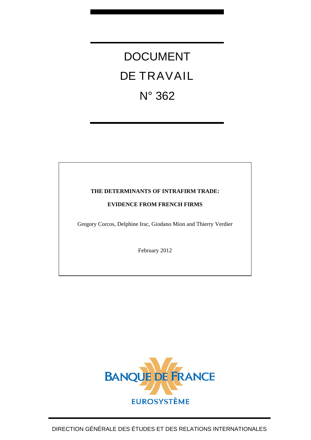# DOCUMENT DE TRAVAIL N° 362

# **THE DETERMINANTS OF INTRAFIRM TRADE:**

# **EVIDENCE FROM FRENCH FIRMS**

Gregory Corcos, Delphine Irac, Giodano Mion and Thierry Verdier

February 2012

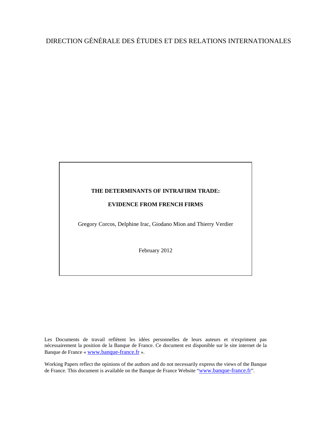# DIRECTION GÉNÉRALE DES ÉTUDES ET DES RELATIONS INTERNATIONALES

## **THE DETERMINANTS OF INTRAFIRM TRADE:**

# **EVIDENCE FROM FRENCH FIRMS**

Gregory Corcos, Delphine Irac, Giodano Mion and Thierry Verdier

February 2012

Les Documents de travail reflètent les idées personnelles de leurs auteurs et n'expriment pas nécessairement la position de la Banque de France. Ce document est disponible sur le site internet de la Banque de France « [www.banque-france.fr](http://www.banque-france.fr/) ».

Working Papers reflect the opinions of the authors and do not necessarily express the views of the Banque de France. This document is available on the Banque de France Website "[www.banque-france.fr](http://www.banque-france.fr/)".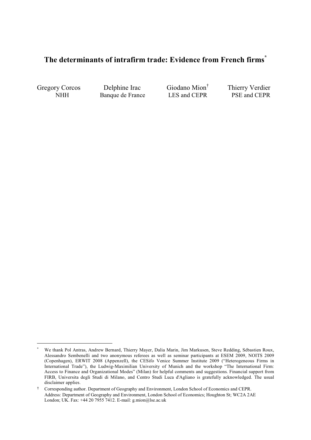# **The determinants of intrafirm trade: Evidence from French firms\***

Gregory Corcos Delphine Irac Giodano Mion<sup>†</sup><br>NHH Banque de France LES and CEPR

<u> 1989 - Johann Stein, fransk politiker (d. 1989)</u>

NHH Banque de France

Thierry Verdier<br>PSE and CEPR

<sup>-</sup> We thank Pol Antras, Andrew Bernard, Thierry Mayer, Dalia Marin, Jim Markusen, Steve Redding, Sébastien Roux, Alessandro Sembenelli and two anonymous referees as well as seminar participants at ESEM 2009, NOITS 2009 (Copenhagen), ERWIT 2008 (Appenzell), the CESifo Venice Summer Institute 2009 ("Heterogeneous Firms in International Trade"), the Ludwig-Maximilian University of Munich and the workshop "The International Firm: Access to Finance and Organizational Modes" (Milan) for helpful comments and suggestions. Financial support from FIRB, Universita degli Studi di Milano, and Centro Studi Luca d'Agliano is gratefully acknowledged. The usual disclaimer applies.

Corresponding author. Department of Geography and Environment, London School of Economics and CEPR. Address: Department of Geography and Environment, London School of Economics; Houghton St; WC2A 2AE London; UK. Fax: +44 20 7955 7412. E-mail: g.mion@lse.ac.uk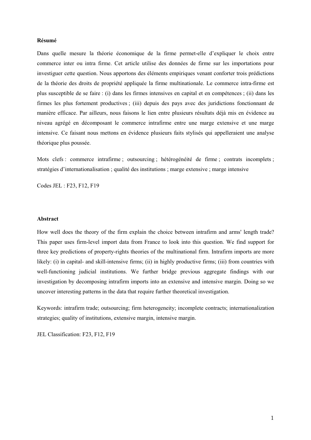### **Résumé**

Dans quelle mesure la théorie économique de la firme permet-elle d'expliquer le choix entre commerce inter ou intra firme. Cet article utilise des données de firme sur les importations pour investiguer cette question. Nous apportons des éléments empiriques venant conforter trois prédictions de la théorie des droits de propriété appliquée la firme multinationale. Le commerce intra-firme est plus susceptible de se faire : (i) dans les firmes intensives en capital et en compétences ; (ii) dans les firmes les plus fortement productives ; (iii) depuis des pays avec des juridictions fonctionnant de manière efficace. Par ailleurs, nous faisons le lien entre plusieurs résultats déjà mis en évidence au niveau agrégé en décomposant le commerce intrafirme entre une marge extensive et une marge intensive. Ce faisant nous mettons en évidence plusieurs faits stylisés qui appelleraient une analyse théorique plus poussée.

Mots clefs : commerce intrafirme ; outsourcing ; hétérogénéité de firme ; contrats incomplets ; stratégies d'internationalisation ; qualité des institutions ; marge extensive ; marge intensive

Codes JEL : F23, F12, F19

#### **Abstract**

How well does the theory of the firm explain the choice between intrafirm and arms' length trade? This paper uses firm-level import data from France to look into this question. We find support for three key predictions of property-rights theories of the multinational firm. Intrafirm imports are more likely: (i) in capital- and skill-intensive firms; (ii) in highly productive firms; (iii) from countries with well-functioning judicial institutions. We further bridge previous aggregate findings with our investigation by decomposing intrafirm imports into an extensive and intensive margin. Doing so we uncover interesting patterns in the data that require further theoretical investigation.

Keywords: intrafirm trade; outsourcing; firm heterogeneity; incomplete contracts; internationalization strategies; quality of institutions, extensive margin, intensive margin.

JEL Classification: F23, F12, F19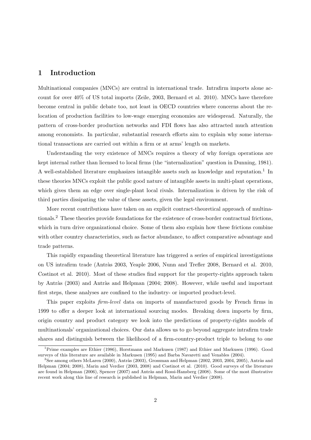# 1 Introduction

Multinational companies (MNCs) are central in international trade. Intrafirm imports alone account for over 40% of US total imports (Zeile, 2003, Bernard et al. 2010). MNCs have therefore become central in public debate too, not least in OECD countries where concerns about the relocation of production facilities to low-wage emerging economies are widespread. Naturally, the pattern of cross-border production networks and FDI flows has also attracted much attention among economists. In particular, substantial research efforts aim to explain why some international transactions are carried out within a firm or at arms' length on markets.

Understanding the very existence of MNCs requires a theory of why foreign operations are kept internal rather than licensed to local firms (the "internalization" question in Dunning, 1981). A well-established literature emphasizes intangible assets such as knowledge and reputation.<sup>1</sup> In these theories MNCs exploit the public good nature of intangible assets in multi-plant operations, which gives them an edge over single-plant local rivals. Internalization is driven by the risk of third parties dissipating the value of these assets, given the legal environment.

More recent contributions have taken on an explicit contract-theoretical approach of multinationals.<sup>2</sup> These theories provide foundations for the existence of cross-border contractual frictions, which in turn drive organizational choice. Some of them also explain how these frictions combine with other country characteristics, such as factor abundance, to affect comparative advantage and trade patterns.

This rapidly expanding theoretical literature has triggered a series of empirical investigations on US intrafirm trade (Antràs 2003, Yeaple 2006, Nunn and Trefler 2008, Bernard et al. 2010, Costinot et al. 2010). Most of these studies find support for the property-rights approach taken by Antràs (2003) and Antràs and Helpman (2004; 2008). However, while useful and important first steps, these analyses are confined to the industry- or imported product-level.

This paper exploits firm-level data on imports of manufactured goods by French firms in 1999 to offer a deeper look at international sourcing modes. Breaking down imports by firm, origin country and product category we look into the predictions of property-rights models of multinationals' organizational choices. Our data allows us to go beyond aggregate intrafirm trade shares and distinguish between the likelihood of a firm-country-product triple to belong to one

<sup>1</sup>Prime examples are Ethier (1986), Horstmann and Markusen (1987) and Ethier and Markusen (1996). Good surveys of this literature are available in Markusen (1995) and Barba Navaretti and Venables (2004).

 ${}^{2}$ See among others McLaren (2000), Antràs (2003), Grossman and Helpman (2002, 2003, 2004, 2005), Antràs and Helpman (2004; 2008), Marin and Verdier (2003, 2008) and Costinot et al. (2010). Good surveys of the literature are found in Helpman (2006), Spencer (2007) and Antràs and Rossi-Hansberg (2008). Some of the most illustrative recent work along this line of research is published in Helpman, Marin and Verdier (2008).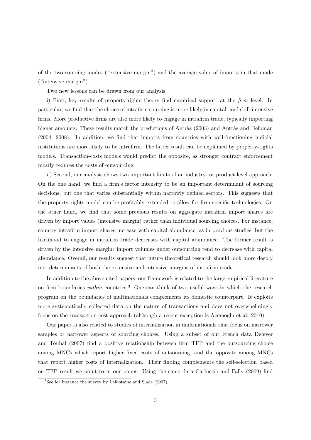of the two sourcing modes ("extensive margin") and the average value of imports in that mode ("intensive margin").

Two new lessons can be drawn from our analysis.

i) First, key results of property-rights theory find empirical support at the firm level. In particular, we find that the choice of intrafirm sourcing is more likely in capital- and skill-intensive firms. More productive firms are also more likely to engage in intrafirm trade, typically importing higher amounts. These results match the predictions of Antràs (2003) and Antràs and Helpman (2004; 2008). In addition, we find that imports from countries with well-functioning judicial institutions are more likely to be intrafirm. The latter result can be explained by property-rights models. Transaction-costs models would predict the opposite, as stronger contract enforcement mostly reduces the costs of outsourcing.

ii) Second, our analysis shows two important limits of an industry- or product-level approach. On the one hand, we find a firm's factor intensity to be an important determinant of sourcing decisions, but one that varies substantially within narrowly defined sectors. This suggests that the property-rights model can be profitably extended to allow for firm-specific technologies. On the other hand, we find that some previous results on aggregate intrafirm import shares are driven by import values (intensive margin) rather than individual sourcing choices. For instance, country intrafirm import shares increase with capital abundance, as in previous studies, but the likelihood to engage in intrafirm trade decreases with capital abundance. The former result is driven by the intensive margin: import volumes under outsourcing tend to decrease with capital abundance. Overall, our results suggest that future theoretical research should look more deeply into determinants of both the extensive and intensive margins of intrafirm trade.

In addition to the above-cited papers, our framework is related to the large empirical literature on firm boundaries within countries.<sup>3</sup> One can think of two useful ways in which the research program on the boundaries of multinationals complements its domestic counterpart. It exploits more systematically collected data on the nature of transactions and does not overwhelmingly focus on the transaction-cost approach (although a recent exception is Acemoglu et al. 2010).

Our paper is also related to studies of internalization in multinationals that focus on narrower samples or narrower aspects of sourcing choices. Using a subset of our French data Defever and Toubal (2007) find a positive relationship between firm TFP and the outsourcing choice among MNCs which report higher fixed costs of outsourcing, and the opposite among MNCs that report higher costs of internalization. Their finding complements the self-selection based on TFP result we point to in our paper. Using the same data Carluccio and Fally (2009) find

<sup>3</sup>See for instance the survey by Lafontaine and Slade (2007).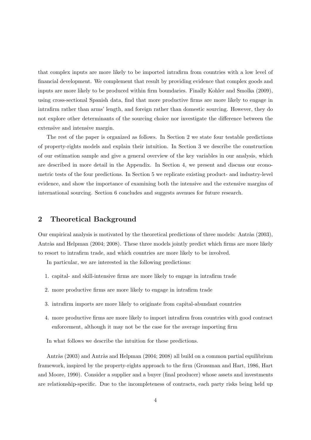that complex inputs are more likely to be imported intrafirm from countries with a low level of financial development. We complement that result by providing evidence that complex goods and inputs are more likely to be produced within firm boundaries. Finally Kohler and Smolka (2009), using cross-sectional Spanish data, find that more productive firms are more likely to engage in intrafirm rather than arms' length, and foreign rather than domestic sourcing. However, they do not explore other determinants of the sourcing choice nor investigate the difference between the extensive and intensive margin.

The rest of the paper is organized as follows. In Section 2 we state four testable predictions of property-rights models and explain their intuition. In Section 3 we describe the construction of our estimation sample and give a general overview of the key variables in our analysis, which are described in more detail in the Appendix. In Section 4, we present and discuss our econometric tests of the four predictions. In Section 5 we replicate existing product- and industry-level evidence, and show the importance of examining both the intensive and the extensive margins of international sourcing. Section 6 concludes and suggests avenues for future research.

# 2 Theoretical Background

Our empirical analysis is motivated by the theoretical predictions of three models: Antràs (2003), Antràs and Helpman (2004; 2008). These three models jointly predict which firms are more likely to resort to intrafirm trade, and which countries are more likely to be involved.

In particular, we are interested in the following predictions:

- 1. capital- and skill-intensive firms are more likely to engage in intrafirm trade
- 2. more productive firms are more likely to engage in intrafirm trade
- 3. intrafirm imports are more likely to originate from capital-abundant countries
- 4. more productive firms are more likely to import intrafirm from countries with good contract enforcement, although it may not be the case for the average importing firm

In what follows we describe the intuition for these predictions.

Antràs (2003) and Antràs and Helpman (2004; 2008) all build on a common partial equilibrium framework, inspired by the property-rights approach to the firm (Grossman and Hart, 1986, Hart and Moore, 1990). Consider a supplier and a buyer (final producer) whose assets and investments are relationship-specific. Due to the incompleteness of contracts, each party risks being held up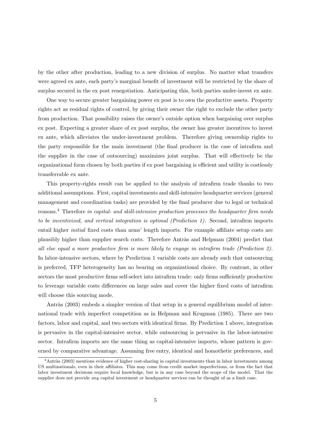by the other after production, leading to a new division of surplus. No matter what transfers were agreed ex ante, each party's marginal benefit of investment will be restricted by the share of surplus secured in the ex post renegotiation. Anticipating this, both parties under-invest ex ante.

One way to secure greater bargaining power ex post is to own the productive assets. Property rights act as residual rights of control, by giving their owner the right to exclude the other party from production. That possibility raises the owner's outside option when bargaining over surplus ex post. Expecting a greater share of ex post surplus, the owner has greater incentives to invest ex ante, which alleviates the under-investment problem. Therefore giving ownership rights to the party responsible for the main investment (the final producer in the case of intrafirm and the supplier in the case of outsourcing) maximizes joint surplus. That will effectively be the organizational form chosen by both parties if ex post bargaining is efficient and utility is costlessly transferrable ex ante.

This property-rights result can be applied to the analysis of intrafirm trade thanks to two additional assumptions. First, capital investments and skill-intensive headquarter services (general management and coordination tasks) are provided by the final producer due to legal or technical reasons.<sup>4</sup> Therefore in capital- and skill-intensive production processes the headquarter firm needs to be incentivized, and vertical integration is optimal (Prediction 1). Second, intrafirm imports entail higher initial fixed costs than arms' length imports. For example affiliate setup costs are plausibly higher than supplier search costs. Therefore Antràs and Helpman (2004) predict that all else equal a more productive firm is more likely to engage in intrafirm trade (Prediction 2). In labor-intensive sectors, where by Prediction 1 variable costs are already such that outsourcing is preferred, TFP heterogeneity has no bearing on organizational choice. By contrast, in other sectors the most productive firms self-select into intrafirm trade: only firms sufficiently productive to leverage variable costs differences on large sales and cover the higher fixed costs of intrafirm will choose this sourcing mode.

Antràs (2003) embeds a simpler version of that setup in a general equilibrium model of international trade with imperfect competition as in Helpman and Krugman (1985). There are two factors, labor and capital, and two sectors with identical firms. By Prediction 1 above, integration is pervasive in the capital-intensive sector, while outsourcing is pervasive in the labor-intensive sector. Intrafirm imports are the same thing as capital-intensive imports, whose pattern is governed by comparative advantage. Assuming free entry, identical and homothetic preferences, and

 $4$ Antràs (2003) mentions evidence of higher cost-sharing in capital investments than in labor investments among US multinationals, even in their affiliates. This may come from credit market imperfections, or from the fact that labor investment decisions require local knowledge, but is in any case beyond the scope of the model. That the supplier does not provide *any* capital investment or headquarter services can be thought of as a limit case.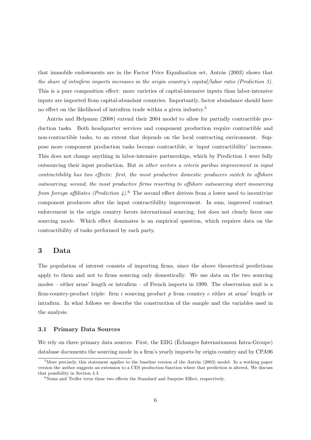that immobile endowments are in the Factor Price Equalization set, Antràs  $(2003)$  shows that the share of intrafirm imports increases in the origin country's capital/labor ratio (Prediction 3). This is a pure composition effect: more varieties of capital-intensive inputs than labor-intensive inputs are imported from capital-abundant countries. Importantly, factor abundance should have no effect on the likelihood of intrafirm trade within a given industry.<sup>5</sup>

Antràs and Helpman (2008) extend their 2004 model to allow for partially contractible production tasks. Both headquarter services and component production require contractible and non-contractible tasks, to an extent that depends on the local contracting environment. Suppose more component production tasks become contractible, ie 'input contractibility' increases. This does not change anything in labor-intensive partnerships, which by Prediction 1 were fully outsourcing their input production. But in other sectors a ceteris paribus improvement in input contractibility has two effects: first, the most productive domestic producers switch to offshore outsourcing; second, the most productive firms resorting to offshore outsourcing start insourcing from foreign affiliates (Prediction 4).<sup>6</sup> The second effect derives from a lower need to incentivize component producers after the input contractibility improvement. In sum, improved contract enforcement in the origin country favors international sourcing, but does not clearly favor one sourcing mode. Which effect dominates is an empirical question, which requires data on the contractibility of tasks performed by each party.

# 3 Data

The population of interest consists of importing firms, since the above theoretical predictions apply to them and not to firms sourcing only domestically. We use data on the two sourcing modes – either arms' length or intrafirm – of French imports in 1999. The observation unit is a firm-country-product triple: firm i sourcing product  $p$  from country  $c$  either at arms' length or intrafirm. In what follows we describe the construction of the sample and the variables used in the analysis.

#### 3.1 Primary Data Sources

We rely on three primary data sources. First, the EIIG (Echanges Internationaux Intra-Groupe) database documents the sourcing mode in a firm's yearly imports by origin country and by CPA96

 $5$ More precisely, this statement applies to the baseline version of the Antràs (2003) model. In a working paper version the author suggests an extension to a CES production function where that prediction is altered. We discuss that possibility in Section 4.3.

 $6$ Nunn and Trefler term these two effects the Standard and Surprise Effect, respectively.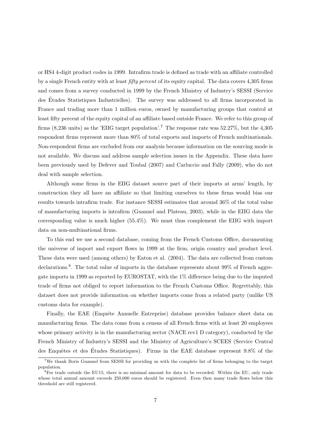or HS4 4-digit product codes in 1999. Intrafirm trade is defined as trade with an affiliate controlled by a single French entity with at least fifty percent of its equity capital. The data covers 4,305 firms and comes from a survey conducted in 1999 by the French Ministry of Industry's SESSI (Service des Etudes Statistiques Industrielles). The survey was addressed to all firms incorporated in ´ France and trading more than 1 million euros, owned by manufacturing groups that control at least fifty percent of the equity capital of an affiliate based outside France. We refer to this group of firms  $(8,236 \text{ units})$  as the 'EIIG target population'.<sup>7</sup> The response rate was  $52.27\%$ , but the  $4,305$ respondent firms represent more than 80% of total exports and imports of French multinationals. Non-respondent firms are excluded from our analysis because information on the sourcing mode is not available. We discuss and address sample selection issues in the Appendix. These data have been previously used by Defever and Toubal (2007) and Carluccio and Fally (2009), who do not deal with sample selection.

Although some firms in the EIIG dataset source part of their imports at arms' length, by construction they all have an affiliate so that limiting ourselves to these firms would bias our results towards intrafirm trade. For instance SESSI estimates that around 36% of the total value of manufacturing imports is intrafirm (Guannel and Plateau, 2003), while in the EIIG data the corresponding value is much higher (55.4%). We must thus complement the EIIG with import data on non-multinational firms.

To this end we use a second database, coming from the French Customs Office, documenting the universe of import and export flows in 1999 at the firm, origin country and product level. These data were used (among others) by Eaton et al. (2004). The data are collected from custom declarations.<sup>8</sup>. The total value of imports in the database represents about 99% of French aggregate imports in 1999 as reported by EUROSTAT, with the 1% difference being due to the imputed trade of firms not obliged to report information to the French Customs Office. Regrettably, this dataset does not provide information on whether imports come from a related party (unlike US customs data for example).

Finally, the EAE (Enquête Annuelle Entreprise) database provides balance sheet data on manufacturing firms. The data come from a census of all French firms with at least 20 employees whose primary activity is in the manufacturing sector (NACE rev1 D category), conducted by the French Ministry of Industry's SESSI and the Ministry of Agriculture's SCEES (Service Central des Enquêtes et des Études Statistiques). Firms in the EAE database represent 9.8% of the

<sup>&</sup>lt;sup>7</sup>We thank Boris Guannel from SESSI for providing us with the complete list of firms belonging to the target population.

 ${}^{8}$  For trade outside the EU15, there is no minimal amount for data to be recorded. Within the EU, only trade whose total annual amount exceeds 250,000 euros should be registered. Even then many trade flows below this threshold are still registered.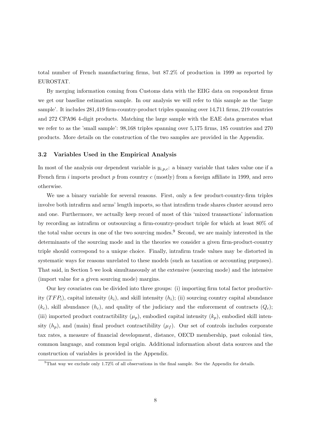total number of French manufacturing firms, but 87.2% of production in 1999 as reported by EUROSTAT.

By merging information coming from Customs data with the EIIG data on respondent firms we get our baseline estimation sample. In our analysis we will refer to this sample as the 'large sample'. It includes  $281,419$  firm-country-product triples spanning over  $14,711$  firms,  $219$  countries and 272 CPA96 4-digit products. Matching the large sample with the EAE data generates what we refer to as the 'small sample': 98,168 triples spanning over 5,175 firms, 185 countries and 270 products. More details on the construction of the two samples are provided in the Appendix.

#### 3.2 Variables Used in the Empirical Analysis

In most of the analysis our dependent variable is  $y_{i,p,c}$ : a binary variable that takes value one if a French firm i imports product p from country c (mostly) from a foreign affiliate in 1999, and zero otherwise.

We use a binary variable for several reasons. First, only a few product-country-firm triples involve both intrafirm and arms' length imports, so that intrafirm trade shares cluster around zero and one. Furthermore, we actually keep record of most of this 'mixed transactions' information by recording as intrafirm or outsourcing a firm-country-product triple for which at least 80% of the total value occurs in one of the two sourcing modes.<sup>9</sup> Second, we are mainly interested in the determinants of the sourcing mode and in the theories we consider a given firm-product-country triple should correspond to a unique choice. Finally, intrafirm trade values may be distorted in systematic ways for reasons unrelated to these models (such as taxation or accounting purposes). That said, in Section 5 we look simultaneously at the extensive (sourcing mode) and the intensive (import value for a given sourcing mode) margins.

Our key covariates can be divided into three groups: (i) importing firm total factor productivity  $(TFP_i)$ , capital intensity  $(k_i)$ , and skill intensity  $(h_i)$ ; (ii) sourcing country capital abundance  $(k_c)$ , skill abundance  $(h_c)$ , and quality of the judiciary and the enforcement of contracts  $(Q_c)$ ; (iii) imported product contractibility  $(\mu_p)$ , embodied capital intensity  $(k_p)$ , embodied skill intensity  $(h_p)$ , and (main) final product contractibility  $(\mu_f)$ . Our set of controls includes corporate tax rates, a measure of financial development, distance, OECD membership, past colonial ties, common language, and common legal origin. Additional information about data sources and the construction of variables is provided in the Appendix.

 $^{9}$ That way we exclude only 1.72% of all observations in the final sample. See the Appendix for details.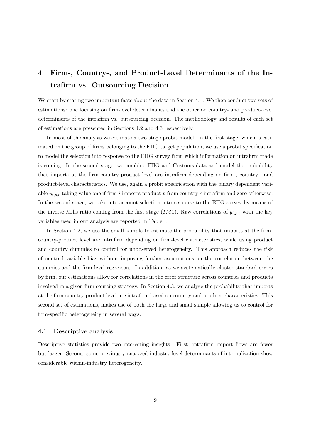# 4 Firm-, Country-, and Product-Level Determinants of the Intrafirm vs. Outsourcing Decision

We start by stating two important facts about the data in Section 4.1. We then conduct two sets of estimations: one focusing on firm-level determinants and the other on country- and product-level determinants of the intrafirm vs. outsourcing decision. The methodology and results of each set of estimations are presented in Sections 4.2 and 4.3 respectively.

In most of the analysis we estimate a two-stage probit model. In the first stage, which is estimated on the group of firms belonging to the EIIG target population, we use a probit specification to model the selection into response to the EIIG survey from which information on intrafirm trade is coming. In the second stage, we combine EIIG and Customs data and model the probability that imports at the firm-country-product level are intrafirm depending on firm-, country-, and product-level characteristics. We use, again a probit specification with the binary dependent variable  $y_{i,p,c}$  taking value one if firm i imports product p from country c intrafirm and zero otherwise. In the second stage, we take into account selection into response to the EIIG survey by means of the inverse Mills ratio coming from the first stage  $(IM1)$ . Raw correlations of  $y_{i,p,c}$  with the key variables used in our analysis are reported in Table I.

In Section 4.2, we use the small sample to estimate the probability that imports at the firmcountry-product level are intrafirm depending on firm-level characteristics, while using product and country dummies to control for unobserved heterogeneity. This approach reduces the risk of omitted variable bias without imposing further assumptions on the correlation between the dummies and the firm-level regressors. In addition, as we systematically cluster standard errors by firm, our estimations allow for correlations in the error structure across countries and products involved in a given firm sourcing strategy. In Section 4.3, we analyze the probability that imports at the firm-country-product level are intrafirm based on country and product characteristics. This second set of estimations, makes use of both the large and small sample allowing us to control for firm-specific heterogeneity in several ways.

#### 4.1 Descriptive analysis

Descriptive statistics provide two interesting insights. First, intrafirm import flows are fewer but larger. Second, some previously analyzed industry-level determinants of internalization show considerable within-industry heterogeneity.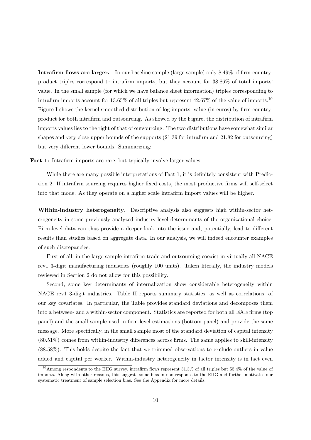Intrafirm flows are larger. In our baseline sample (large sample) only 8.49% of firm-countryproduct triples correspond to intrafirm imports, but they account for 38.86% of total imports' value. In the small sample (for which we have balance sheet information) triples corresponding to intrafirm imports account for 13.65% of all triples but represent 42.67% of the value of imports.<sup>10</sup> Figure I shows the kernel-smoothed distribution of log imports' value (in euros) by firm-countryproduct for both intrafirm and outsourcing. As showed by the Figure, the distribution of intrafirm imports values lies to the right of that of outsourcing. The two distributions have somewhat similar shapes and very close upper bounds of the supports (21.39 for intrafirm and 21.82 for outsourcing) but very different lower bounds. Summarizing:

Fact 1: Intrafirm imports are rare, but typically involve larger values.

While there are many possible interpretations of Fact 1, it is definitely consistent with Prediction 2. If intrafirm sourcing requires higher fixed costs, the most productive firms will self-select into that mode. As they operate on a higher scale intrafirm import values will be higher.

Within-industry heterogeneity. Descriptive analysis also suggests high within-sector heterogeneity in some previously analyzed industry-level determinants of the organizational choice. Firm-level data can thus provide a deeper look into the issue and, potentially, lead to different results than studies based on aggregate data. In our analysis, we will indeed encounter examples of such discrepancies.

First of all, in the large sample intrafirm trade and outsourcing coexist in virtually all NACE rev1 3-digit manufacturing industries (roughly 100 units). Taken literally, the industry models reviewed in Section 2 do not allow for this possibility.

Second, some key determinants of internalization show considerable heterogeneity within NACE rev1 3-digit industries. Table II reports summary statistics, as well as correlations, of our key covariates. In particular, the Table provides standard deviations and decomposes them into a between- and a within-sector component. Statistics are reported for both all EAE firms (top panel) and the small sample used in firm-level estimations (bottom panel) and provide the same message. More specifically, in the small sample most of the standard deviation of capital intensity (80.51%) comes from within-industry differences across firms. The same applies to skill-intensity (88.58%). This holds despite the fact that we trimmed observations to exclude outliers in value added and capital per worker. Within-industry heterogeneity in factor intensity is in fact even

<sup>10</sup>Among respondents to the EIIG survey, intrafirm flows represent 31.3% of all triples but 55.4% of the value of imports. Along with other reasons, this suggests some bias in non-response to the EIIG and further motivates our systematic treatment of sample selection bias. See the Appendix for more details.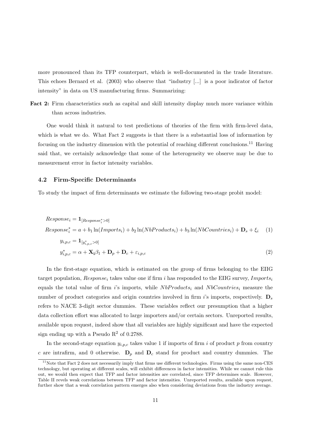more pronounced than its TFP counterpart, which is well-documented in the trade literature. This echoes Bernard et al. (2003) who observe that "industry [...] is a poor indicator of factor intensity" in data on US manufacturing firms. Summarizing:

Fact 2: Firm characteristics such as capital and skill intensity display much more variance within than across industries.

One would think it natural to test predictions of theories of the firm with firm-level data, which is what we do. What Fact 2 suggests is that there is a substantial loss of information by focusing on the industry dimension with the potential of reaching different conclusions.<sup>11</sup> Having said that, we certainly acknowledge that some of the heterogeneity we observe may be due to measurement error in factor intensity variables.

#### 4.2 Firm-Specific Determinants

To study the impact of firm determinants we estimate the following two-stage probit model:

$$
Response_i = \mathbf{1}_{[Response_i^* > 0]}
$$
  
\n
$$
Response_i^* = a + b_1 \ln(Imports_i) + b_2 \ln(NbProducts_i) + b_3 \ln(NbCountries_i) + \mathbf{D}_s + \xi_i
$$
 (1)  
\n
$$
y_{i,p,c} = \mathbf{1}_{[y_{i,p,c}^* > 0]}
$$
  
\n
$$
y_{i,p,c}^* = \alpha + \mathbf{X}_i \beta_1 + \mathbf{D}_p + \mathbf{D}_c + \varepsilon_{i,p,c}
$$
 (2)

In the first-stage equation, which is estimated on the group of firms belonging to the EIIG target population,  $Response_i$  takes value one if firm i has responded to the EIIG survey, Imports equals the total value of firm i's imports, while  $NbProducts_i$  and  $NbCountries_i$  measure the number of product categories and origin countries involved in firm i's imports, respectively.  $D_s$ refers to NACE 3-digit sector dummies. These variables reflect our presumption that a higher data collection effort was allocated to large importers and/or certain sectors. Unreported results, available upon request, indeed show that all variables are highly significant and have the expected sign ending up with a Pseudo  $\mathbb{R}^2$  of 0.2788.

In the second-stage equation  $y_{i,p,c}$  takes value 1 if imports of firm i of product p from country c are intrafirm, and 0 otherwise.  $D_p$  and  $D_c$  stand for product and country dummies. The

 $11$ Note that Fact 2 does not necessarily imply that firms use different technologies. Firms using the same non-CES technology, but operating at different scales, will exhibit differences in factor intensities. While we cannot rule this out, we would then expect that TFP and factor intensities are correlated, since TFP determines scale. However, Table II revels weak correlations between TFP and factor intensities. Unreported results, available upon request, further show that a weak correlation pattern emerges also when considering deviations from the industry average.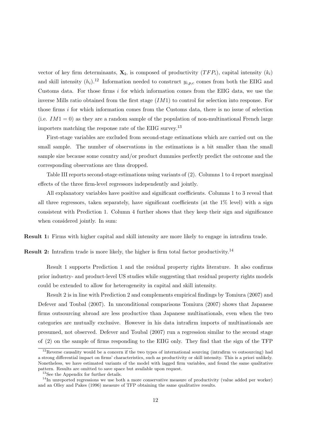vector of key firm determinants,  $\mathbf{X_i}$ , is composed of productivity  $(TFP_i)$ , capital intensity  $(k_i)$ and skill intensity  $(h_i)$ .<sup>12</sup> Information needed to construct  $y_{i,p,c}$  comes from both the EIIG and Customs data. For those firms  $i$  for which information comes from the EIIG data, we use the inverse Mills ratio obtained from the first stage  $(IM1)$  to control for selection into response. For those firms i for which information comes from the Customs data, there is no issue of selection (i.e.  $IM1 = 0$ ) as they are a random sample of the population of non-multinational French large importers matching the response rate of the EIIG survey.<sup>13</sup>

First-stage variables are excluded from second-stage estimations which are carried out on the small sample. The number of observations in the estimations is a bit smaller than the small sample size because some country and/or product dummies perfectly predict the outcome and the corresponding observations are thus dropped.

Table III reports second-stage estimations using variants of (2). Columns 1 to 4 report marginal effects of the three firm-level regressors independently and jointly.

All explanatory variables have positive and significant coefficients. Columns 1 to 3 reveal that all three regressors, taken separately, have significant coefficients (at the 1% level) with a sign consistent with Prediction 1. Column 4 further shows that they keep their sign and significance when considered jointly. In sum:

Result 1: Firms with higher capital and skill intensity are more likely to engage in intrafirm trade.

Result 2: Intrafirm trade is more likely, the higher is firm total factor productivity.<sup>14</sup>

Result 1 supports Prediction 1 and the residual property rights literature. It also confirms prior industry- and product-level US studies while suggesting that residual property rights models could be extended to allow for heterogeneity in capital and skill intensity.

Result 2 is in line with Prediction 2 and complements empirical findings by Tomiura (2007) and Defever and Toubal (2007). In unconditional comparisons Tomiura (2007) shows that Japanese firms outsourcing abroad are less productive than Japanese multinationals, even when the two categories are mutually exclusive. However in his data intrafirm imports of multinationals are presumed, not observed. Defever and Toubal (2007) run a regression similar to the second stage of (2) on the sample of firms responding to the EIIG only. They find that the sign of the TFP

 $12$ Reverse causality would be a concern if the two types of international sourcing (intrafirm vs outsourcing) had a strong differential impact on firms' characteristics, such as productivity or skill intensity. This is a priori unlikely. Nonetheless, we have estimated variants of the model with lagged firm variables, and found the same qualitative pattern. Results are omitted to save space but available upon request.

<sup>13</sup>See the Appendix for further details.

<sup>&</sup>lt;sup>14</sup>In unreported regressions we use both a more conservative measure of productivity (value added per worker) and an Olley and Pakes (1996) measure of TFP obtaining the same qualitative results.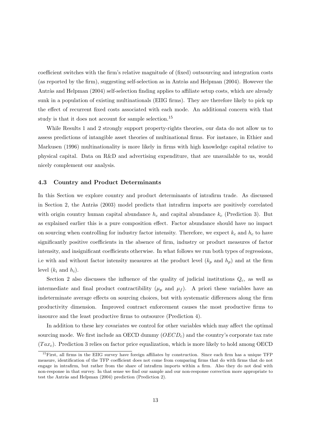coefficient switches with the firm's relative magnitude of (fixed) outsourcing and integration costs (as reported by the firm), suggesting self-selection as in Antràs and Helpman  $(2004)$ . However the Antràs and Helpman (2004) self-selection finding applies to affiliate setup costs, which are already sunk in a population of existing multinationals (EIIG firms). They are therefore likely to pick up the effect of recurrent fixed costs associated with each mode. An additional concern with that study is that it does not account for sample selection.<sup>15</sup>

While Results 1 and 2 strongly support property-rights theories, our data do not allow us to assess predictions of intangible asset theories of multinational firms. For instance, in Ethier and Markusen (1996) multinationality is more likely in firms with high knowledge capital relative to physical capital. Data on R&D and advertising expenditure, that are unavailable to us, would nicely complement our analysis.

#### 4.3 Country and Product Determinants

In this Section we explore country and product determinants of intrafirm trade. As discussed in Section 2, the Antràs (2003) model predicts that intrafirm imports are positively correlated with origin country human capital abundance  $h_c$  and capital abundance  $k_c$  (Prediction 3). But as explained earlier this is a pure composition effect. Factor abundance should have no impact on sourcing when controlling for industry factor intensity. Therefore, we expect  $k_c$  and  $h_c$  to have significantly positive coefficients in the absence of firm, industry or product measures of factor intensity, and insignificant coefficients otherwise. In what follows we run both types of regressions, i.e with and without factor intensity measures at the product level  $(k_p \text{ and } h_p)$  and at the firm level  $(k_i \text{ and } h_i)$ .

Section 2 also discusses the influence of the quality of judicial institutions  $Q_c$ , as well as intermediate and final product contractibility ( $\mu_p$  and  $\mu_f$ ). A priori these variables have an indeterminate average effects on sourcing choices, but with systematic differences along the firm productivity dimension. Improved contract enforcement causes the most productive firms to insource and the least productive firms to outsource (Prediction 4).

In addition to these key covariates we control for other variables which may affect the optimal sourcing mode. We first include an OECD dummy  $(OECD<sub>c</sub>)$  and the country's corporate tax rate  $(Tax_c)$ . Prediction 3 relies on factor price equalization, which is more likely to hold among OECD

<sup>&</sup>lt;sup>15</sup>First, all firms in the EIIG survey have foreign affiliates by construction. Since each firm has a unique TFP measure, identification of the TFP coefficient does not come from comparing firms that do with firms that do not engage in intrafirm, but rather from the share of intrafirm imports within a firm. Also they do not deal with non-response in that survey. In that sense we find our sample and our non-response correction more appropriate to test the Antràs and Helpman (2004) prediction (Prediction 2).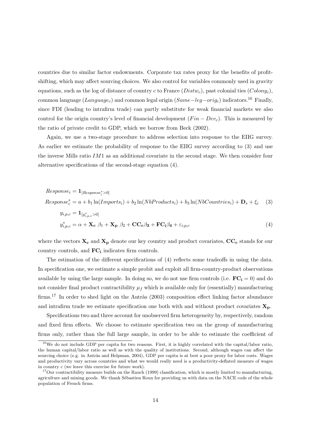countries due to similar factor endowments. Corporate tax rates proxy for the benefits of profitshifting, which may affect sourcing choices. We also control for variables commonly used in gravity equations, such as the log of distance of country c to France  $(Distw_c)$ , past colonial ties  $(Colony_c)$ , common language (Language<sub>c</sub>) and common legal origin (Same–leg–orig<sub>c</sub>) indicators.<sup>16</sup> Finally, since FDI (leading to intrafirm trade) can partly substitute for weak financial markets we also control for the origin country's level of financial development  $(Fin - Dev_c)$ . This is measured by the ratio of private credit to GDP, which we borrow from Beck (2002).

Again, we use a two-stage procedure to address selection into response to the EIIG survey. As earlier we estimate the probability of response to the EIIG survey according to (3) and use the inverse Mills ratio IM1 as an additional covariate in the second stage. We then consider four alternative specifications of the second-stage equation (4).

$$
Response_i = \mathbf{1}_{[Response_i^* > 0]}
$$
  
\n
$$
Response_i^* = a + b_1 \ln(Imports_i) + b_2 \ln(NbProducts_i) + b_3 \ln(NbCountries_i) + \mathbf{D}_s + \xi_i
$$
 (3)  
\n
$$
y_{i,p,c} = \mathbf{1}_{[y_{i,p,c}^* > 0]}
$$
  
\n
$$
y_{i,p,c}^* = \alpha + \mathbf{X_c} \beta_1 + \mathbf{X_p} \beta_2 + \mathbf{CC_c} \beta_3 + \mathbf{FC_i} \beta_4 + \varepsilon_{i,p,c}
$$
 (4)

where the vectors  $X_c$  and  $X_p$  denote our key country and product covariates,  $CC_c$  stands for our country controls, and  $FC_i$  indicates firm controls.

The estimation of the different specifications of (4) reflects some tradeoffs in using the data. In specification one, we estimate a simple probit and exploit all firm-country-product observations available by using the large sample. In doing so, we do not use firm controls (i.e.  $\mathbf{FC_i} = 0$ ) and do not consider final product contractibility  $\mu_f$  which is available only for (essentially) manufacturing firms.<sup>17</sup> In order to shed light on the Antràs (2003) composition effect linking factor abundance and intrafirm trade we estimate specification one both with and without product covariates  $\mathbf{X}_{\mathbf{p}}$ .

Specifications two and three account for unobserved firm heterogeneity by, respectively, random and fixed firm effects. We choose to estimate specification two on the group of manufacturing firms only, rather than the full large sample, in order to be able to estimate the coefficient of

<sup>&</sup>lt;sup>16</sup>We do not include GDP per capita for two reasons. First, it is highly correlated with the capital/labor ratio, the human capital/labor ratio as well as with the quality of institutions. Second, although wages can affect the sourcing choice (e.g. in Antràs and Helpman, 2004), GDP per capita is at best a poor proxy for labor costs. Wages and productivity vary across countries and what we would really need is a productivity-deflated measure of wages in country c (we leave this exercise for future work).

 $17$ Our contractibility measure builds on the Rauch (1999) classification, which is mostly limited to manufacturing, agriculture and mining goods. We thank Sébastien Roux for providing us with data on the NACE code of the whole population of French firms.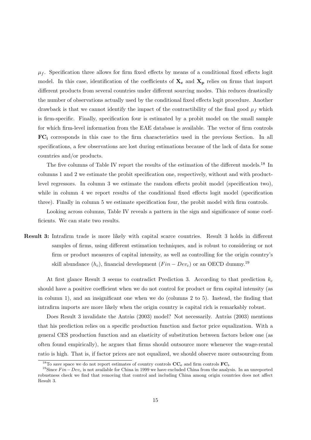$\mu_f$ . Specification three allows for firm fixed effects by means of a conditional fixed effects logit model. In this case, identification of the coefficients of  $X_c$  and  $X_p$  relies on firms that import different products from several countries under different sourcing modes. This reduces drastically the number of observations actually used by the conditional fixed effects logit procedure. Another drawback is that we cannot identify the impact of the contractibility of the final good  $\mu_f$  which is firm-specific. Finally, specification four is estimated by a probit model on the small sample for which firm-level information from the EAE database is available. The vector of firm controls FC<sup>i</sup> corresponds in this case to the firm characteristics used in the previous Section. In all specifications, a few observations are lost during estimations because of the lack of data for some countries and/or products.

The five columns of Table IV report the results of the estimation of the different models.<sup>18</sup> In columns 1 and 2 we estimate the probit specification one, respectively, without and with productlevel regressors. In column 3 we estimate the random effects probit model (specification two), while in column 4 we report results of the conditional fixed effects logit model (specification three). Finally in column 5 we estimate specification four, the probit model with firm controls.

Looking across columns, Table IV reveals a pattern in the sign and significance of some coefficients. We can state two results.

Result 3: Intrafirm trade is more likely with capital scarce countries. Result 3 holds in different samples of firms, using different estimation techniques, and is robust to considering or not firm or product measures of capital intensity, as well as controlling for the origin country's skill abundance  $(h_c)$ , financial development  $(Fin - Dev_c)$  or an OECD dummy.<sup>19</sup>

At first glance Result 3 seems to contradict Prediction 3. According to that prediction  $k_c$ should have a positive coefficient when we do not control for product or firm capital intensity (as in column 1), and an insignificant one when we do (columns 2 to 5). Instead, the finding that intrafirm imports are more likely when the origin country is capital rich is remarkably robust.

Does Result 3 invalidate the Antràs (2003) model? Not necessarily. Antràs (2003) mentions that his prediction relies on a specific production function and factor price equalization. With a general CES production function and an elasticity of substitution between factors below one (as often found empirically), he argues that firms should outsource more whenever the wage-rental ratio is high. That is, if factor prices are not equalized, we should observe more outsourcing from

<sup>&</sup>lt;sup>18</sup>To save space we do not report estimates of country controls  $\mathbf{CC}_c$  and firm controls  $\mathbf{FC}_i$ .

<sup>&</sup>lt;sup>19</sup>Since  $Fin-Dev_c$  is not available for China in 1999 we have excluded China from the analysis. In an unreported robustness check we find that removing that control and including China among origin countries does not affect Result 3.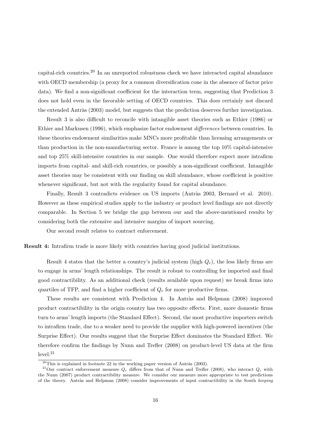capital-rich countries.<sup>20</sup> In an unreported robustness check we have interacted capital abundance with OECD membership (a proxy for a common diversification cone in the absence of factor price data). We find a non-significant coefficient for the interaction term, suggesting that Prediction 3 does not hold even in the favorable setting of OECD countries. This does certainly not discard the extended Antràs (2003) model, but suggests that the prediction deserves further investigation.

Result 3 is also difficult to reconcile with intangible asset theories such as Ethier (1986) or Ethier and Markusen (1996), which emphasize factor endowment differences between countries. In these theories endowment similarities make MNCs more profitable than licensing arrangements or than production in the non-manufacturing sector. France is among the top 10% capital-intensive and top 25% skill-intensive countries in our sample. One would therefore expect more intrafirm imports from capital- and skill-rich countries, or possibly a non-significant coefficient. Intangible asset theories may be consistent with our finding on skill abundance, whose coefficient is positive whenever significant, but not with the regularity found for capital abundance.

Finally, Result 3 contradicts evidence on US imports (Antràs 2003, Bernard et al. 2010). However as these empirical studies apply to the industry or product level findings are not directly comparable. In Section 5 we bridge the gap between our and the above-mentioned results by considering both the extensive and intensive margins of import sourcing.

Our second result relates to contract enforcement.

Result 4: Intrafirm trade is more likely with countries having good judicial institutions.

Result 4 states that the better a country's judicial system (high  $Q_c$ ), the less likely firms are to engage in arms' length relationships. The result is robust to controlling for imported and final good contractibility. As an additional check (results available upon request) we break firms into quartiles of TFP, and find a higher coefficient of  $Q_c$  for more productive firms.

These results are consistent with Prediction 4. In Antràs and Helpman  $(2008)$  improved product contractibility in the origin country has two opposite effects. First, more domestic firms turn to arms' length imports (the Standard Effect). Second, the most productive importers switch to intrafirm trade, due to a weaker need to provide the supplier with high-powered incentives (the Surprise Effect). Our results suggest that the Surprise Effect dominates the Standard Effect. We therefore confirm the findings by Nunn and Trefler (2008) on product-level US data at the firm level.<sup>21</sup>

 $20$ This is explained in footnote 22 in the working paper version of Antràs (2003).

<sup>&</sup>lt;sup>21</sup>Our contract enforcement measure  $Q_c$  differs from that of Nunn and Trefler (2008), who interact  $Q_c$  with the Nunn (2007) product contractibility measure. We consider our measure more appropriate to test predictions of the theory. Antràs and Helpman (2008) consider improvements of input contractibility in the South keeping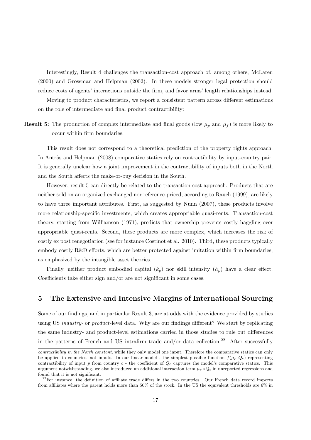Interestingly, Result 4 challenges the transaction-cost approach of, among others, McLaren (2000) and Grossman and Helpman (2002). In these models stronger legal protection should reduce costs of agents' interactions outside the firm, and favor arms' length relationships instead. Moving to product characteristics, we report a consistent pattern across different estimations on the role of intermediate and final product contractibility:

**Result 5:** The production of complex intermediate and final goods (low  $\mu_p$  and  $\mu_f$ ) is more likely to occur within firm boundaries.

This result does not correspond to a theoretical prediction of the property rights approach. In Antràs and Helpman (2008) comparative statics rely on contractibility by input-country pair. It is generally unclear how a joint improvement in the contractibility of inputs both in the North and the South affects the make-or-buy decision in the South.

However, result 5 can directly be related to the transaction-cost approach. Products that are neither sold on an organized exchanged nor reference-priced, according to Rauch (1999), are likely to have three important attributes. First, as suggested by Nunn (2007), these products involve more relationship-specific investments, which creates appropriable quasi-rents. Transaction-cost theory, starting from Williamson (1971), predicts that ownership prevents costly haggling over appropriable quasi-rents. Second, these products are more complex, which increases the risk of costly ex post renegotiation (see for instance Costinot et al. 2010). Third, these products typically embody costly R&D efforts, which are better protected against imitation within firm boundaries, as emphasized by the intangible asset theories.

Finally, neither product embodied capital  $(k_p)$  nor skill intensity  $(h_p)$  have a clear effect. Coefficients take either sign and/or are not significant in some cases.

# 5 The Extensive and Intensive Margins of International Sourcing

Some of our findings, and in particular Result 3, are at odds with the evidence provided by studies using US *industry-* or *product-level* data. Why are our findings different? We start by replicating the same industry- and product-level estimations carried in those studies to rule out differences in the patterns of French and US intrafirm trade and/or data collection.<sup>22</sup> After successfully

contractibility in the North constant, while they only model one input. Therefore the comparative statics can only be applied to countries, not inputs. In our linear model - the simplest possible function  $f(\mu_p, Q_c)$  representing contractibility of input  $p$  from country  $c$  - the coefficient of  $Q_c$  captures the model's comparative statics. This argument notwithstanding, we also introduced an additional interaction term  $\mu_p * Q_c$  in unreported regressions and found that it is not significant.

 $^{22}$ For instance, the definition of affiliate trade differs in the two countries. Our French data record imports from affiliates where the parent holds more than 50% of the stock. In the US the equivalent thresholds are 6% in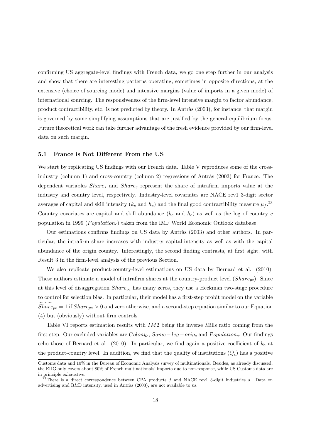confirming US aggregate-level findings with French data, we go one step further in our analysis and show that there are interesting patterns operating, sometimes in opposite directions, at the extensive (choice of sourcing mode) and intensive margins (value of imports in a given mode) of international sourcing. The responsiveness of the firm-level intensive margin to factor abundance, product contractibility, etc. is not predicted by theory. In Antràs (2003), for instance, that margin is governed by some simplifying assumptions that are justified by the general equilibrium focus. Future theoretical work can take further advantage of the fresh evidence provided by our firm-level data on such margin.

#### 5.1 France is Not Different From the US

We start by replicating US findings with our French data. Table V reproduces some of the crossindustry (column 1) and cross-country (column 2) regressions of Antràs (2003) for France. The dependent variables  $Share<sub>s</sub>$  and  $Share<sub>c</sub>$  represent the share of intrafirm imports value at the industry and country level, respectively. Industry-level covariates are NACE rev1 3-digit sector averages of capital and skill intensity  $(k_s \text{ and } h_s)$  and the final good contractibility measure  $\mu_f$ .<sup>23</sup> Country covariates are capital and skill abundance  $(k_c \text{ and } h_c)$  as well as the log of country c population in 1999 ( $Population_c$ ) taken from the IMF World Economic Outlook database.

Our estimations confirms findings on US data by Antràs (2003) and other authors. In particular, the intrafirm share increases with industry capital-intensity as well as with the capital abundance of the origin country. Interestingly, the second finding contrasts, at first sight, with Result 3 in the firm-level analysis of the previous Section.

We also replicate product-country-level estimations on US data by Bernard et al. (2010). These authors estimate a model of intrafirm shares at the country-product level  $(Share_{pc})$ . Since at this level of disaggregation  $Share_{pc}$  has many zeros, they use a Heckman two-stage procedure to control for selection bias. In particular, their model has a first-step probit model on the variable  $Share_{pc} = 1$  if  $Share_{pc} > 0$  and zero otherwise, and a second-step equation similar to our Equation (4) but (obviously) without firm controls.

Table VI reports estimation results with  $IM2$  being the inverse Mills ratio coming from the first step. Our excluded variables are  $Colony_c$ ,  $Same-leg-orig_c$  and  $Population_c$ . Our findings echo those of Bernard et al. (2010). In particular, we find again a positive coefficient of  $k_c$  at the product-country level. In addition, we find that the quality of institutions  $(Q<sub>c</sub>)$  has a positive

Customs data and 10% in the Bureau of Economic Analysis survey of multinationals. Besides, as already discussed, the EIIG only covers about 80% of French multinationals' imports due to non-response, while US Customs data are in principle exhaustive.

<sup>&</sup>lt;sup>23</sup>There is a direct correspondence between CPA products f and NACE rev1 3-digit industries s. Data on advertising and R&D intensity, used in Antràs (2003), are not available to us.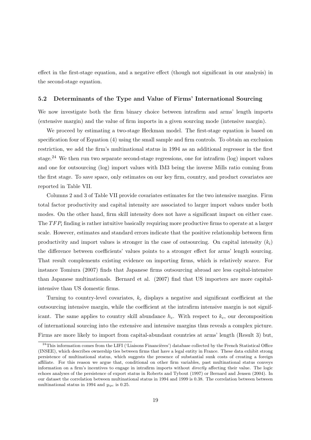effect in the first-stage equation, and a negative effect (though not significant in our analysis) in the second-stage equation.

#### 5.2 Determinants of the Type and Value of Firms' International Sourcing

We now investigate both the firm binary choice between intrafirm and arms' length imports (extensive margin) and the value of firm imports in a given sourcing mode (intensive margin).

We proceed by estimating a two-stage Heckman model. The first-stage equation is based on specification four of Equation (4) using the small sample and firm controls. To obtain an exclusion restriction, we add the firm's multinational status in 1994 as an additional regressor in the first stage.<sup>24</sup> We then run two separate second-stage regressions, one for intrafirm (log) import values and one for outsourcing (log) import values with IM3 being the inverse Mills ratio coming from the first stage. To save space, only estimates on our key firm, country, and product covariates are reported in Table VII.

Columns 2 and 3 of Table VII provide covariates estimates for the two intensive margins. Firm total factor productivity and capital intensity are associated to larger import values under both modes. On the other hand, firm skill intensity does not have a significant impact on either case. The  $TFP_i$  finding is rather intuitive basically requiring more productive firms to operate at a larger scale. However, estimates and standard errors indicate that the positive relationship between firm productivity and import values is stronger in the case of outsourcing. On capital intensity  $(k<sub>i</sub>)$ the difference between coefficients' values points to a stronger effect for arms' length sourcing. That result complements existing evidence on importing firms, which is relatively scarce. For instance Tomiura (2007) finds that Japanese firms outsourcing abroad are less capital-intensive than Japanese multinationals. Bernard et al. (2007) find that US importers are more capitalintensive than US domestic firms.

Turning to country-level covariates,  $k_c$  displays a negative and significant coefficient at the outsourcing intensive margin, while the coefficient at the intrafirm intensive margin is not significant. The same applies to country skill abundance  $h_c$ . With respect to  $k_c$ , our decomposition of international sourcing into the extensive and intensive margins thus reveals a complex picture. Firms are more likely to import from capital-abundant countries at arms' length (Result 3) but,

 $^{24}$ This information comes from the LIFI ('Liaisons Financières') database collected by the French Statistical Office (INSEE), which describes ownership ties between firms that have a legal entity in France. These data exhibit strong persistence of multinational status, which suggests the presence of substantial sunk costs of creating a foreign affiliate. For this reason we argue that, conditional on other firm variables, past multinational status conveys information on a firm's incentives to engage in intrafirm imports without directly affecting their value. The logic echoes analyses of the persistence of export status in Roberts and Tybout (1997) or Bernard and Jensen (2004). In our dataset the correlation between multinational status in 1994 and 1999 is 0.38. The correlation between between multinational status in 1994 and  $y_{ipe}$  is 0.25.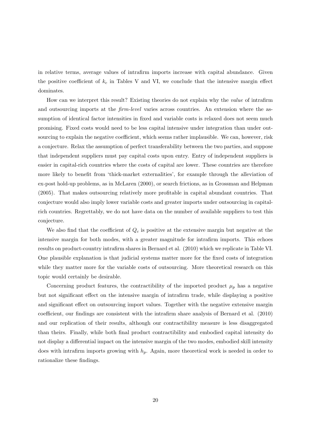in relative terms, average values of intrafirm imports increase with capital abundance. Given the positive coefficient of  $k_c$  in Tables V and VI, we conclude that the intensive margin effect dominates.

How can we interpret this result? Existing theories do not explain why the value of intrafirm and outsourcing imports at the *firm-level* varies across countries. An extension where the assumption of identical factor intensities in fixed and variable costs is relaxed does not seem much promising. Fixed costs would need to be less capital intensive under integration than under outsourcing to explain the negative coefficient, which seems rather implausible. We can, however, risk a conjecture. Relax the assumption of perfect transferability between the two parties, and suppose that independent suppliers must pay capital costs upon entry. Entry of independent suppliers is easier in capital-rich countries where the costs of capital are lower. These countries are therefore more likely to benefit from 'thick-market externalities', for example through the alleviation of ex-post hold-up problems, as in McLaren (2000), or search frictions, as in Grossman and Helpman (2005). That makes outsourcing relatively more profitable in capital abundant countries. That conjecture would also imply lower variable costs and greater imports under outsourcing in capitalrich countries. Regrettably, we do not have data on the number of available suppliers to test this conjecture.

We also find that the coefficient of  $Q_c$  is positive at the extensive margin but negative at the intensive margin for both modes, with a greater magnitude for intrafirm imports. This echoes results on product-country intrafirm shares in Bernard et al. (2010) which we replicate in Table VI. One plausible explanation is that judicial systems matter more for the fixed costs of integration while they matter more for the variable costs of outsourcing. More theoretical research on this topic would certainly be desirable.

Concerning product features, the contractibility of the imported product  $\mu_p$  has a negative but not significant effect on the intensive margin of intrafirm trade, while displaying a positive and significant effect on outsourcing import values. Together with the negative extensive margin coefficient, our findings are consistent with the intrafirm share analysis of Bernard et al. (2010) and our replication of their results, although our contractibility measure is less disaggregated than theirs. Finally, while both final product contractibility and embodied capital intensity do not display a differential impact on the intensive margin of the two modes, embodied skill intensity does with intrafirm imports growing with  $h_p$ . Again, more theoretical work is needed in order to rationalize these findings.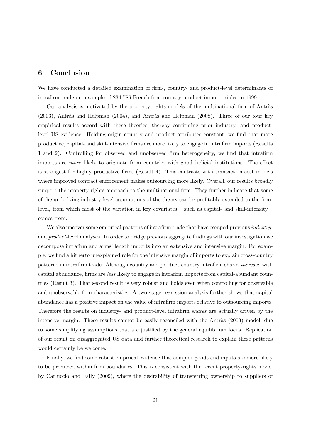# 6 Conclusion

We have conducted a detailed examination of firm-, country- and product-level determinants of intrafirm trade on a sample of 234,786 French firm-country-product import triples in 1999.

Our analysis is motivated by the property-rights models of the multinational firm of Antràs  $(2003)$ , Antràs and Helpman  $(2004)$ , and Antràs and Helpman  $(2008)$ . Three of our four key empirical results accord with these theories, thereby confirming prior industry- and productlevel US evidence. Holding origin country and product attributes constant, we find that more productive, capital- and skill-intensive firms are more likely to engage in intrafirm imports (Results 1 and 2). Controlling for observed and unobserved firm heterogeneity, we find that intrafirm imports are more likely to originate from countries with good judicial institutions. The effect is strongest for highly productive firms (Result 4). This contrasts with transaction-cost models where improved contract enforcement makes outsourcing more likely. Overall, our results broadly support the property-rights approach to the multinational firm. They further indicate that some of the underlying industry-level assumptions of the theory can be profitably extended to the firmlevel, from which most of the variation in key covariates – such as capital- and skill-intensity – comes from.

We also uncover some empirical patterns of intrafirm trade that have escaped previous *industry*and product-level analyses. In order to bridge previous aggregate findings with our investigation we decompose intrafirm and arms' length imports into an extensive and intensive margin. For example, we find a hitherto unexplained role for the intensive margin of imports to explain cross-country patterns in intrafirm trade. Although country and product-country intrafirm shares increase with capital abundance, firms are less likely to engage in intrafirm imports from capital-abundant countries (Result 3). That second result is very robust and holds even when controlling for observable and unobservable firm characteristics. A two-stage regression analysis further shows that capital abundance has a positive impact on the value of intrafirm imports relative to outsourcing imports. Therefore the results on industry- and product-level intrafirm shares are actually driven by the intensive margin. These results cannot be easily reconciled with the Antràs  $(2003)$  model, due to some simplifying assumptions that are justified by the general equilibrium focus. Replication of our result on disaggregated US data and further theoretical research to explain these patterns would certainly be welcome.

Finally, we find some robust empirical evidence that complex goods and inputs are more likely to be produced within firm boundaries. This is consistent with the recent property-rights model by Carluccio and Fally (2009), where the desirability of transferring ownership to suppliers of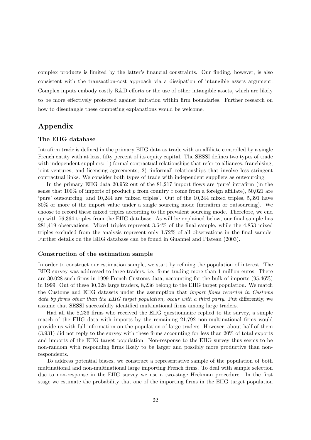complex products is limited by the latter's financial constraints. Our finding, however, is also consistent with the transaction-cost approach via a dissipation of intangible assets argument. Complex inputs embody costly R&D efforts or the use of other intangible assets, which are likely to be more effectively protected against imitation within firm boundaries. Further research on how to disentangle these competing explanations would be welcome.

# Appendix

#### The EIIG database

Intrafirm trade is defined in the primary EIIG data as trade with an affiliate controlled by a single French entity with at least fifty percent of its equity capital. The SESSI defines two types of trade with independent suppliers: 1) formal contractual relationships that refer to alliances, franchising, joint-ventures, and licensing agreements; 2) 'informal' relationships that involve less stringent contractual links. We consider both types of trade with independent suppliers as outsourcing.

In the primary EIIG data 20,952 out of the 81,217 import flows are 'pure' intrafirm (in the sense that  $100\%$  of imports of product p from country c come from a foreign affiliate), 50,021 are 'pure' outsourcing, and 10,244 are 'mixed triples'. Out of the 10,244 mixed triples, 5,391 have 80% or more of the import value under a single sourcing mode (intrafirm or outsourcing). We choose to record these mixed triples according to the prevalent sourcing mode. Therefore, we end up with 76,364 triples from the EIIG database. As will be explained below, our final sample has 281,419 observations. Mixed triples represent 3.64% of the final sample, while the 4,853 mixed triples excluded from the analysis represent only 1.72% of all observations in the final sample. Further details on the EIIG database can be found in Guannel and Plateau (2003).

#### Construction of the estimation sample

In order to construct our estimation sample, we start by refining the population of interest. The EIIG survey was addressed to large traders, i.e. firms trading more than 1 million euros. There are 30,028 such firms in 1999 French Customs data, accounting for the bulk of imports (95.46%) in 1999. Out of these 30,028 large traders, 8,236 belong to the EIIG target population. We match the Customs and EIIG datasets under the assumption that import flows recorded in Customs data by firms other than the EIIG target population, occur with a third party. Put differently, we assume that SESSI successfully identified multinational firms among large traders.

Had all the 8,236 firms who received the EIIG questionnaire replied to the survey, a simple match of the EIIG data with imports by the remaining 21,792 non-multinational firms would provide us with full information on the population of large traders. However, about half of them (3,931) did not reply to the survey with these firms accounting for less than 20% of total exports and imports of the EIIG target population. Non-response to the EIIG survey thus seems to be non-random with responding firms likely to be larger and possibly more productive than nonrespondents.

To address potential biases, we construct a representative sample of the population of both multinational and non-multinational large importing French firms. To deal with sample selection due to non-response in the EIIG survey we use a two-stage Heckman procedure. In the first stage we estimate the probability that one of the importing firms in the EIIG target population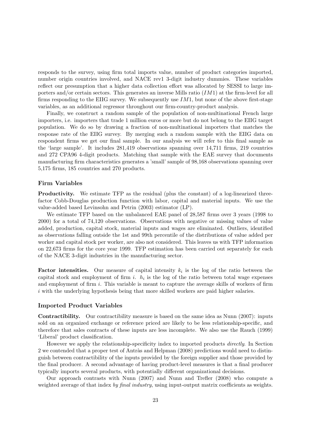responds to the survey, using firm total imports value, number of product categories imported, number origin countries involved, and NACE rev1 3-digit industry dummies. These variables reflect our presumption that a higher data collection effort was allocated by SESSI to large importers and/or certain sectors. This generates an inverse Mills ratio  $(IM1)$  at the firm-level for all firms responding to the EIIG survey. We subsequently use  $IM1$ , but none of the above first-stage variables, as an additional regressor throughout our firm-country-product analysis.

Finally, we construct a random sample of the population of non-multinational French large importers, i.e. importers that trade 1 million euros or more but do not belong to the EIIG target population. We do so by drawing a fraction of non-multinational importers that matches the response rate of the EIIG survey. By merging such a random sample with the EIIG data on respondent firms we get our final sample. In our analysis we will refer to this final sample as the 'large sample'. It includes 281,419 observations spanning over 14,711 firms, 219 countries and 272 CPA96 4-digit products. Matching that sample with the EAE survey that documents manufacturing firm characteristics generates a 'small' sample of 98,168 observations spanning over 5,175 firms, 185 countries and 270 products.

#### Firm Variables

Productivity. We estimate TFP as the residual (plus the constant) of a log-linearized threefactor Cobb-Douglas production function with labor, capital and material inputs. We use the value-added based Levinsohn and Petrin (2003) estimator (LP).

We estimate TFP based on the unbalanced EAE panel of 28,587 firms over 3 years (1998 to 2000) for a total of 74,120 observations. Observations with negative or missing values of value added, production, capital stock, material inputs and wages are eliminated. Outliers, identified as observations falling outside the 1st and 99th percentile of the distributions of value added per worker and capital stock per worker, are also not considered. This leaves us with TFP information on 22,673 firms for the core year 1999. TFP estimation has been carried out separately for each of the NACE 3-digit industries in the manufacturing sector.

**Factor intensities.** Our measure of capital intensity  $k_i$  is the log of the ratio between the capital stock and employment of firm  $i$ .  $h_i$  is the log of the ratio between total wage expenses and employment of firm i. This variable is meant to capture the average skills of workers of firm i with the underlying hypothesis being that more skilled workers are paid higher salaries.

#### Imported Product Variables

Contractibility. Our contractibility measure is based on the same idea as Nunn (2007): inputs sold on an organized exchange or reference priced are likely to be less relationship-specific, and therefore that sales contracts of these inputs are less incomplete. We also use the Rauch (1999) 'Liberal' product classification.

However we apply the relationship-specificity index to imported products directly. In Section 2 we contended that a proper test of Antràs and Helpman (2008) predictions would need to distinguish between contractibility of the inputs provided by the foreign supplier and those provided by the final producer. A second advantage of having product-level measures is that a final producer typically imports several products, with potentially different organizational decisions.

Our approach contrasts with Nunn (2007) and Nunn and Trefler (2008) who compute a weighted average of that index by final industry, using input-output matrix coefficients as weights.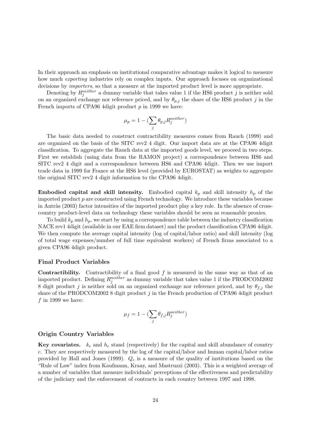In their approach an emphasis on institutional comparative advantage makes it logical to measure how much exporting industries rely on complex inputs. Our approach focuses on organizational decisions by importers, so that a measure at the imported product level is more appropriate.

Denoting by  $R_j^{neither}$  a dummy variable that takes value 1 if the HS6 product j is neither sold on an organized exchange nor reference priced, and by  $\theta_{p,j}$  the share of the HS6 product j in the French imports of CPA96 4 digit product  $p$  in 1999 we have:

$$
\mu_p=1-(\sum_j\theta_{p,j}R^{neither}_j)
$$

The basic data needed to construct contractibility measures comes from Rauch (1999) and are organized on the basis of the SITC rev2 4 digit. Our import data are at the CPA96 4digit classification. To aggregate the Rauch data at the imported goods level, we proceed in two steps. First we establish (using data from the RAMON project) a correspondence between HS6 and SITC rev2 4 digit and a correspondence between HS6 and CPA96 4digit. Then we use import trade data in 1999 for France at the HS6 level (provided by EUROSTAT) as weights to aggregate the original SITC rev2 4 digit information to the CPA96 4digit.

**Embodied capital and skill intensity.** Embodied capital  $k_p$  and skill intensity  $h_p$  of the imported product  $p$  are constructed using French technology. We introduce these variables because in Antràs (2003) factor intensities of the imported product play a key role. In the absence of crosscountry product-level data on technology these variables should be seen as reasonable proxies.

To build  $k_p$  and  $h_p$ , we start by using a correspondence table between the industry classification NACE rev1 4digit (available in our EAE firm dataset) and the product classification CPA96 4digit. We then compute the average capital intensity (log of capital/labor ratio) and skill intensity (log of total wage expenses/number of full time equivalent workers) of French firms associated to a given CPA96 4digit product.

#### Final Product Variables

**Contractibility.** Contractibility of a final good  $f$  is measured in the same way as that of an imported product. Defining  $R_j^{neither}$  as dummy variable that takes value 1 if the PRODCOM2002 8 digit product j is neither sold on an organized exchange nor reference priced, and by  $\theta_{f,j}$  the share of the PRODCOM2002 8 digit product j in the French production of CPA96 4digit product  $f$  in 1999 we have:

$$
\mu_f = 1 - (\sum_j \theta_{f,j} R^{neither}_j)
$$

#### Origin Country Variables

**Key covariates.**  $k_c$  and  $h_c$  stand (respectively) for the capital and skill abundance of country c. They are respectively measured by the log of the capital/labor and human capital/labor ratios provided by Hall and Jones (1999).  $Q_c$  is a measure of the quality of institutions based on the "Rule of Law" index from Kaufmann, Kraay, and Mastruzzi (2003). This is a weighted average of a number of variables that measure individuals' perceptions of the effectiveness and predictability of the judiciary and the enforcement of contracts in each country between 1997 and 1998.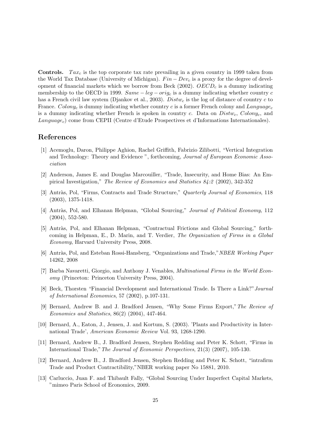**Controls.** Tax<sub>c</sub> is the top corporate tax rate prevailing in a given country in 1999 taken from the World Tax Database (University of Michigan).  $Fin - Dev_c$  is a proxy for the degree of development of financial markets which we borrow from Beck (2002).  $OECD<sub>c</sub>$  is a dummy indicating membership to the OECD in 1999.  $Same - leg - orig_c$  is a dummy indicating whether country c has a French civil law system (Djankov et al., 2003).  $Dist_{w_c}$  is the log of distance of country c to France. Colony<sub>c</sub> is dummy indicating whether country c is a former French colony and Language<sub>c</sub> is a dummy indicating whether French is spoken in country c. Data on  $Dist_{c}$ , Colony<sub>c</sub>, and  $Language_c)$  come from CEPII (Centre d'Etude Prospectives et d'Informations Internationales).

# References

- [1] Acemoglu, Daron, Philippe Aghion, Rachel Griffith, Fabrizio Zilibotti, "Vertical Integration and Technology: Theory and Evidence ", forthcoming, Journal of European Economic Association
- [2] Anderson, James E. and Douglas Marcouiller, "Trade, Insecurity, and Home Bias: An Empirical Investigation," The Review of Economics and Statistics 84:2 (2002), 342-352
- [3] Antràs, Pol, "Firms, Contracts and Trade Structure," Quarterly Journal of Economics, 118 (2003), 1375-1418.
- [4] Antràs, Pol, and Elhanan Helpman, "Global Sourcing," Journal of Political Economy, 112 (2004), 552-580.
- [5] Antràs, Pol, and Elhanan Helpman, "Contractual Frictions and Global Sourcing," forthcoming in Helpman, E., D. Marin, and T. Verdier, The Organization of Firms in a Global Economy, Harvard University Press, 2008.
- [6] Antràs, Pol, and Esteban Rossi-Hansberg, "Organizations and Trade," NBER Working Paper 14262, 2008
- [7] Barba Navaretti, Giorgio, and Anthony J. Venables, Multinational Firms in the World Economy (Princeton: Princeton University Press, 2004).
- [8] Beck, Thorsten "Financial Development and International Trade. Is There a Link?"Journal of International Economics, 57 (2002), p.107-131.
- [9] Bernard, Andrew B. and J. Bradford Jensen, "Why Some Firms Export,"The Review of Economics and Statistics, 86(2) (2004), 447-464.
- [10] Bernard, A., Eaton, J., Jensen, J. and Kortum, S. (2003). 'Plants and Productivity in International Trade', American Economic Review Vol. 93, 1268-1290.
- [11] Bernard, Andrew B., J. Bradford Jensen, Stephen Redding and Peter K. Schott, "Firms in International Trade,"The Journal of Economic Perspectives, 21(3) (2007), 105-130.
- [12] Bernard, Andrew B., J. Bradford Jensen, Stephen Redding and Peter K. Schott, "intrafirm Trade and Product Contractibility,"NBER working paper No 15881, 2010.
- [13] Carluccio, Juan F. and Thibault Fally, "Global Sourcing Under Imperfect Capital Markets, "mimeo Paris School of Economics, 2009.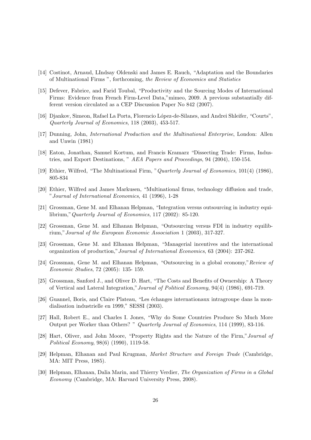- [14] Costinot, Arnaud, LIndsay Oldenski and James E. Rauch, "Adaptation and the Boundaries of Multinational Firms ", forthcoming, the Review of Economics and Statistics
- [15] Defever, Fabrice, and Farid Toubal, "Productivity and the Sourcing Modes of International Firms: Evidence from French Firm-Level Data,"mimeo, 2009. A previous substantially different version circulated as a CEP Discussion Paper No 842 (2007).
- [16] Djankov, Simeon, Rafael La Porta, Florencio L´opez-de-Silanes, and Andrei Shleifer, "Courts", Quarterly Journal of Economics, 118 (2003), 453-517.
- [17] Dunning, John, International Production and the Multinational Enterprise, London: Allen and Unwin (1981)
- [18] Eaton, Jonathan, Samuel Kortum, and Francis Kramarz "Dissecting Trade: Firms, Industries, and Export Destinations, " AEA Papers and Proceedings, 94 (2004), 150-154.
- [19] Ethier, Wilfred, "The Multinational Firm, "Quarterly Journal of Economics, 101(4) (1986), 805-834
- [20] Ethier, Wilfred and James Markusen, "Multinational firms, technology diffusion and trade, "Journal of International Economics, 41 (1996), 1-28
- [21] Grossman, Gene M. and Elhanan Helpman, "Integration versus outsourcing in industry equilibrium,"Quarterly Journal of Economics, 117 (2002): 85-120.
- [22] Grossman, Gene M. and Elhanan Helpman, "Outsourcing versus FDI in industry equilibrium,"Journal of the European Economic Association 1 (2003), 317-327.
- [23] Grossman, Gene M. and Elhanan Helpman, "Managerial incentives and the international organization of production,"Journal of International Economics, 63 (2004): 237-262.
- [24] Grossman, Gene M. and Elhanan Helpman, "Outsourcing in a global economy,"Review of Economic Studies, 72 (2005): 135- 159.
- [25] Grossman, Sanford J., and Oliver D. Hart, "The Costs and Benefits of Ownership: A Theory of Vertical and Lateral Integration,"Journal of Political Economy, 94(4) (1986), 691-719.
- [26] Guannel, Boris, and Claire Plateau, "Les échanges internationaux intragroupe dans la mondialisation industrielle en 1999," SESSI (2003).
- [27] Hall, Robert E., and Charles I. Jones, "Why do Some Countries Produce So Much More Output per Worker than Others? " Quarterly Journal of Economics, 114 (1999), 83-116.
- [28] Hart, Oliver, and John Moore, "Property Rights and the Nature of the Firm,"Journal of Political Economy, 98(6) (1990), 1119-58.
- [29] Helpman, Elhanan and Paul Krugman, Market Structure and Foreign Trade (Cambridge, MA: MIT Press, 1985).
- [30] Helpman, Elhanan, Dalia Marin, and Thierry Verdier, The Organization of Firms in a Global Economy (Cambridge, MA: Harvard University Press, 2008).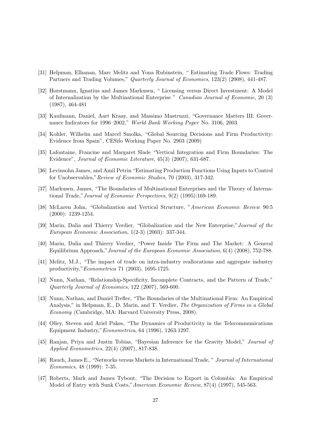- [31] Helpman, Elhanan, Marc Melitz and Yona Rubinstein, " Estimating Trade Flows: Trading Partners and Trading Volumes," Quarterly Journal of Economics, 123(2) (2008), 441-487.
- [32] Horstmann, Ignatius and James Markusen, " Licensing versus Direct Investment: A Model of Internalization by the Multinational Enterprise " Canadian Journal of Economic, 20 (3) (1987), 464-481
- [33] Kaufmann, Daniel, Aart Kraay, and Massimo Mastruzzi, "Governance Matters III: Governance Indicators for 1996–2002," World Bank Working Paper No. 3106, 2003.
- [34] Kohler, Wilhelm and Marcel Smolka, "Global Sourcing Decisions and Firm Productivity: Evidence from Spain", CESifo Working Paper No. 2903 (2009)
- [35] Lafontaine, Francine and Margaret Slade "Vertical Integration and Firm Boundaries: The Evidence", Journal of Economic Literature, 45(3) (2007), 631-687.
- [36] Levinsohn James, and Amil Petrin "Estimating Production Functions Using Inputs to Control for Unobservables,"Review of Economic Studies, 70 (2003), 317-342.
- [37] Markusen, James, "The Boundaries of Multinational Enterprises and the Theory of International Trade,"Journal of Economic Perspectives, 9(2) (1995):169-189.
- [38] McLaren John, "Globalization and Vertical Structure, "American Economic Review 90:5 (2000): 1239-1254.
- [39] Marin, Dalia and Thierry Verdier, "Globalization and the New Enterprise,"Journal of the European Economic Association, 1(2-3) (2003): 337-344.
- [40] Marin, Dalia and Thierry Verdier, "Power Inside The Firm and The Market: A General Equilibrium Approach,"Journal of the European Economic Association, 6(4) (2008), 752-788.
- [41] Melitz, M.J., "The impact of trade on intra-industry reallocations and aggregate industry productivity,"Econometrica 71 (2003), 1695-1725.
- [42] Nunn, Nathan, "Relationship-Specificity, Incomplete Contracts, and the Pattern of Trade," Quarterly Journal of Economics, 122 (2007), 569-600.
- [43] Nunn, Nathan, and Daniel Trefler, "The Boundaries of the Multinational Firm: An Empirical Analysis," in Helpman, E., D. Marin, and T. Verdier, The Organization of Firms in a Global Economy (Cambridge, MA: Harvard University Press, 2008).
- [44] Olley, Steven and Ariel Pakes, "The Dynamics of Productivity in the Telecommunications Equipment Industry,"Econometrica, 64 (1996), 1263-1297.
- [45] Ranjan, Priya and Justin Tobias, "Bayesian Inference for the Gravity Model," Journal of Applied Econometrics, 22(4) (2007), 817-838.
- [46] Rauch, James E., "Networks versus Markets in International Trade, " Journal of International Economics, 48 (1999): 7-35.
- [47] Roberts, Mark and James Tybout, "The Decision to Export in Colombia: An Empirical Model of Entry with Sunk Costs,"American Economic Review, 87(4) (1997), 545-563.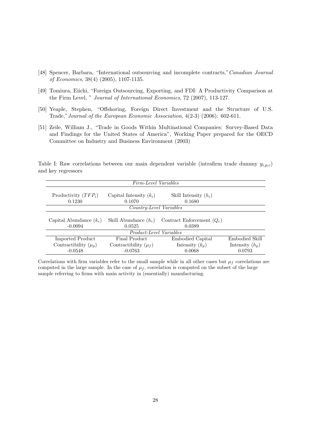- [48] Spencer, Barbara, "International outsourcing and incomplete contracts,"Canadian Journal of Economics, 38(4) (2005), 1107-1135.
- [49] Tomiura, Eiichi, "Foreign Outsourcing, Exporting, and FDI: A Productivity Comparison at the Firm Level, " Journal of International Economics, 72 (2007), 113-127.
- [50] Yeaple, Stephen, "Offshoring, Foreign Direct Investment and the Structure of U.S. Trade,"Journal of the European Economic Association, 4(2-3) (2006): 602-611.
- [51] Zeile, William J., "Trade in Goods Within Multinational Companies: Survey-Based Data and Findings for the United States of America", Working Paper prepared for the OECD Committee on Industry and Business Environment (2003)

Table I: Raw correlations between our main dependent variable (intrafirm trade dummy  $y_{i,p,c}$ ) and key regressors

| Firm-Level Variables           |                           |                              |                   |  |  |
|--------------------------------|---------------------------|------------------------------|-------------------|--|--|
|                                |                           |                              |                   |  |  |
| Productivity $(TFP_i)$         | Capital Intensity $(k_i)$ | Skill Intensity $(h_i)$      |                   |  |  |
| 0.1230                         | 0.1070                    | 0.1680                       |                   |  |  |
|                                | Country-Level Variables   |                              |                   |  |  |
|                                |                           |                              |                   |  |  |
| Capital Abundance $(k_c)$      | Skill Abundance $(h_c)$   | Contract Enforcement $(Q_c)$ |                   |  |  |
| $-0.0094$                      | 0.0525                    | 0.0389                       |                   |  |  |
| <i>Product-Level Variables</i> |                           |                              |                   |  |  |
| Imported Product               | Final Product             | Embodied Capital             | Embodied Skill    |  |  |
| Contractibility $(\mu_p)$      | Contractibility $(\mu_f)$ | Intensity $(k_p)$            | Intensity $(h_p)$ |  |  |
| $-0.0548$                      | $-0.0763$                 | 0.0068                       | 0.0793            |  |  |

Correlations with firm variables refer to the small sample while in all other cases but  $\mu_f$  correlations are computed in the large sample. In the case of  $\mu_f$ , correlation is computed on the subset of the large sample referring to firms with main activity in (essentially) manufacturing.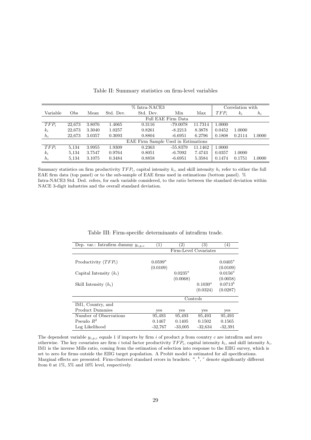| % Intra-NACE3 |                                     |        |           | Correlation with |            |         |         |        |        |
|---------------|-------------------------------------|--------|-----------|------------------|------------|---------|---------|--------|--------|
| Variable      | Obs                                 | Mean   | Std. Dev. | Std. Dev.        | Min        | Max     | $TFP_i$ | $k_i$  | $h_i$  |
|               | Full EAE Firm Data                  |        |           |                  |            |         |         |        |        |
| $TFP_i$       | 22,673                              | 3.8076 | 1.4065    | 0.3116           | $-79.0078$ | 11.7314 | 1.0000  |        |        |
| $k_i$         | 22,673                              | 3.3040 | 1.0257    | 0.8261           | $-8.2213$  | 8.3878  | 0.0452  | 1.0000 |        |
| $h_i$         | 22,673                              | 3.0357 | 0.3093    | 0.8804           | $-6.6951$  | 6.2796  | 0.1808  | 0.2114 | 1.0000 |
|               | EAE Firm Sample Used in Estimations |        |           |                  |            |         |         |        |        |
| $TFP_i$       | 5,134                               | 3.9955 | 1.9309    | 0.2363           | $-55.8379$ | 11.1462 | 1.0000  |        |        |
| $k_i$         | 5,134                               | 3.7547 | 0.9764    | 0.8051           | $-6.7092$  | 7.4743  | 0.0357  | 1.0000 |        |
| $h_i$         | 5,134                               | 3.1075 | 0.3484    | 0.8858           | $-6.6951$  | 5.3584  | 0.1474  | 0.1751 | 1.0000 |

Table II: Summary statistics on firm-level variables

Summary statistics on firm productivity  $TFP_i$ , capital intensity  $k_i$ , and skill intensity  $h_i$  refer to either the full EAE firm data (top panel) or to the sub-sample of EAE firms used in estimations (bottom panel). % Intra-NACE3 Std. Ded. refers, for each variable considered, to the ratio between the standard deviation within NACE 3-digit industries and the overall standard deviation.

| Dep. var.: Intrafirm dummy $y_{i,p,c}$ | (1)                   | $\left( 2\right)$ | 3)         | $^{(4)}$     |
|----------------------------------------|-----------------------|-------------------|------------|--------------|
|                                        | Firm-Level Covariates |                   |            |              |
|                                        |                       |                   |            |              |
| Productivity $(TFP_i)$                 | $0.0599^a$            |                   |            | $0.0405^a$   |
|                                        | (0.0109)              |                   |            | (0.0109)     |
| Capital Intensity $(k_i)$              |                       | $0.0235^a$        |            | $0.0156^a$   |
|                                        |                       | (0.0068)          |            | (0.0058)     |
| Skill Intensity $(h_i)$                |                       |                   | $0.1030^a$ | $0.0713^{b}$ |
|                                        |                       |                   | (0.0324)   | (0.0287)     |
|                                        |                       |                   | Controls   |              |
| IM1, Country, and                      |                       |                   |            |              |
| <b>Product Dummies</b>                 | yes                   | yes               | yes        | yes          |
| Number of Observations                 | 95,493                | 95,493            | 95,493     | 95,493       |
| Pseudo $R^2$                           | 0.1467                | 0.1405            | 0.1502     | 0.1565       |
| Log Likelihood                         | $-32,767$             | $-33,005$         | $-32,634$  | $-32,391$    |

Table III: Firm-specific determinants of intrafirm trade.

The dependent variable  $y_{i,p,c}$  equals 1 if imports by firm i of product p from country c are intrafirm and zero otherwise. The key covariates are firm i total factor productivity  $TFP_i$ , capital intensity  $k_i$ , and skill intensity  $h_i$ . IM1 is the inverse Mills ratio, coming from the estimation of selection into response to the EIIG survey, which is set to zero for firms outside the EIIG target population. A Probit model is estimated for all specifications. Marginal effects are presented. Firm-clustered standard errors in brackets.  $a, b, c$  denote significantly different from 0 at 1%, 5% and 10% level, respectively.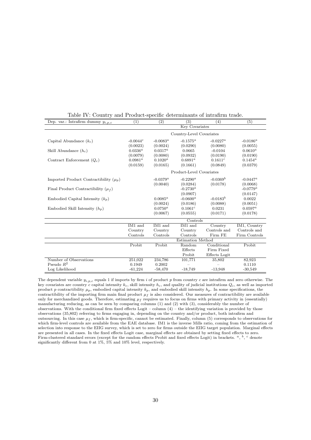| Dep. var.: Intrafirm dummy $y_{i,p,c}$     | (1)                      | (2)         | (3)                      | (4)           | (5)           |
|--------------------------------------------|--------------------------|-------------|--------------------------|---------------|---------------|
|                                            |                          |             | Key Covariates           |               |               |
|                                            | Country-Level Covariates |             |                          |               |               |
| Capital Abundance $(k_c)$                  | $-0.0044c$               | $-0.0083^a$ | $-0.1575^a$              | $-0.0227^a$   | $-0.0186^a$   |
|                                            | (0.0023)                 | (0.0024)    | (0.0290)                 | (0.0080)      | (0.0055)      |
| Skill Abundance $(h_c)$                    | $0.0336^a$               | $0.0317^a$  | 0.0665                   | $-0.0104$     | $0.0610^a$    |
|                                            | (0.0079)                 | (0.0080)    | (0.0932)                 | (0.0190)      | (0.0190)      |
| Contract Enforcement $(Q_c)$               | $0.0981^a$               | $0.1020^a$  | $0.6891^a$               | $0.1611^{c}$  | $0.1454^a$    |
|                                            | (0.0159)                 | (0.0165)    | (0.1661)                 | (0.0849)      | (0.0379)      |
|                                            |                          |             | Product-Level Covariates |               |               |
| Imported Product Contractibility $(\mu_n)$ |                          | $-0.0379^a$ | $-0.2290^a$              | $-0.0369^b$   | $-0.0447^a$   |
|                                            |                          | (0.0040)    | (0.0284)                 | (0.0178)      | (0.0068)      |
| Final Product Contractibility $(\mu_f)$    |                          |             | $-0.2730^{a}$            |               | $-0.0779^a$   |
|                                            |                          |             | (0.0907)                 |               | (0.0147)      |
| Embodied Capital Intensity $(k_p)$         |                          | $0.0085^a$  | $-0.0600^a$              | $-0.0183^b$   | 0.0022        |
|                                            |                          | (0.0024)    | (0.0186)                 | (0.0088)      | (0.0051)      |
| Embodied Skill Intensity $(h_p)$           |                          | $0.0750^a$  | $0.1061^{c}$             | 0.0231        | $0.0597^a$    |
|                                            |                          | (0.0067)    | (0.0555)                 | (0.0171)      | (0.0178)      |
|                                            |                          |             | Controls                 |               |               |
|                                            | IM1 and                  | IM1 and     | IM1 and                  | Country       | IM1, Country  |
|                                            | Country                  | Country     | Country                  | Controls and  | Controls and  |
|                                            | Controls                 | Controls    | Controls                 | Firm FE       | Firm Controls |
|                                            |                          |             | Estimation Method        |               |               |
|                                            | Probit                   | Probit      | Random                   | Conditional   | Probit        |
|                                            |                          |             | Effects                  | Firm Fixed    |               |
|                                            |                          |             | Probit                   | Effects Logit |               |
| Number of Observations                     | 251,022                  | 234,786     | 101,771                  | 35,802        | 82,923        |
| Pseudo $R^2$                               | 0.1949                   | 0.2002      |                          |               | 0.1110        |
| Log Likelihood                             | $-61,224$                | $-58,470$   | $-18,749$                | $-13,948$     | $-30,549$     |

Table IV: Country and Product-specific determinants of intrafirm trade.

The dependent variable  $y_{i,p,c}$  equals 1 if imports by firm i of product p from country c are intrafirm and zero otherwise. The key covariates are country c capital intensity  $k_c$ , skill intensity  $h_c$ , and quality of judicial institutions  $Q_c$ , as well as imported product p contractibility  $\mu_p$ , embodied capital intensity  $k_p$ , and embodied skill intensity  $h_p$ . In some specifications, the contractibility of the importing firm main final product  $\mu_f$  is also considered. Our measures of contractibility are available only for merchandized goods. Therefore, estimating  $\mu_f$  requires us to focus on firms with primary activity in (essentially) manufacturing reducing, as can be seen by comparing columns (1) and (2) with (3), considerably the number of observations. With the conditional firm fixed effects Logit – column  $(4)$  – the identifying variation is provided by those observations (35,802) referring to firms engaging in, depending on the country and/or product, both intrafirm and outsourcing. In this case  $\mu_f$ , which is firm-specific, cannot be estimated. Finally, column (5) corresponds to observations for which firm-level controls are available from the EAE database. IM1 is the inverse Mills ratio, coming from the estimation of selection into response to the EIIG survey, which is set to zero for firms outside the EIIG target population. Marginal effects are presented in all cases. In the fixed effects Logit case, marginal effects are obtained by setting fixed effects to zero. Firm-clustered standard errors (except for the random effects Probit and fixed effects Logit) in brackets. <sup>a</sup>, <sup>b</sup>, <sup>c</sup> denote significantly different from 0 at 1%, 5% and 10% level, respectively.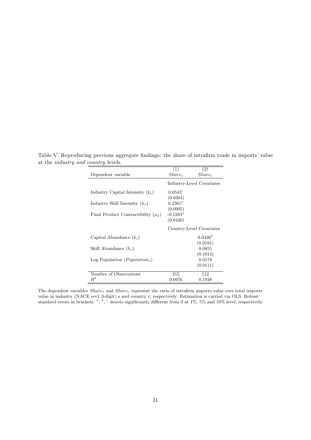Table V: Reproducing previous aggregate findings: the share of intrafirm trade in imports' value at the industry and country levels.

|                                                  | (1)                       | (2)                      |
|--------------------------------------------------|---------------------------|--------------------------|
| Dependent variable                               | $Share_s$                 | Share <sub>c</sub>       |
|                                                  | Industry-Level Covariates |                          |
| Industry Capital Intensity $(k_s)$               | $0.0543^c$                |                          |
|                                                  | (0.0304)                  |                          |
| Industry Skill Intensity $(h_s)$                 | $0.2361^a$                |                          |
|                                                  | (0.0905)                  |                          |
| Final Product Contractibility $(\mu_f)$          | $-0.1283^a$               |                          |
|                                                  | (0.0420)                  |                          |
|                                                  |                           | Country-Level Covariates |
| Capital Abundance $(k_c)$                        |                           | $0.0426^b$               |
|                                                  |                           | (0.0191)                 |
| Skill Abundance $(h_c)$                          |                           | 0.0855                   |
|                                                  |                           | (0.1014)                 |
| Log Population ( <i>Population<sub>c</sub></i> ) |                           | 0.0178                   |
|                                                  |                           | (0.0111)                 |
| Number of Observations                           | 215                       | 112                      |
| $R^2$                                            | 0.0976                    | 0.1938                   |

The dependent variables  $Share_s$  and  $Share_c$  represent the ratio of intrafirm imports value over total imports value in industry (NACE rev1 3-digit) s and country c, respectively. Estimation is carried via OLS. Robust standard errors in brackets.  $a, b, c$  denote significantly different from 0 at 1%, 5% and 10% level, respectively.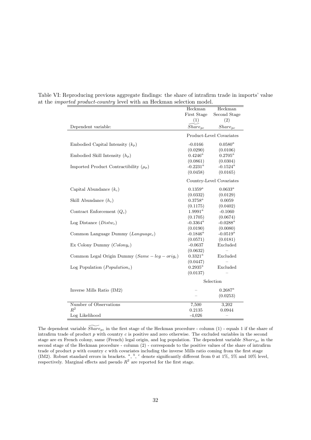|                                                   | Heckman      | Heckman                  |
|---------------------------------------------------|--------------|--------------------------|
|                                                   | First Stage  | Second Stage             |
|                                                   | (1)          | (2)                      |
| Dependent variable:                               | $Share_{pc}$ | $Share_{pc}$             |
|                                                   |              | Product-Level Covariates |
| Embodied Capital Intensity $(k_p)$                | $-0.0166$    | $0.0580^a$               |
|                                                   | (0.0290)     | (0.0106)                 |
| Embodied Skill Intensity $(h_p)$                  | $0.4246^a$   | $0.2705^a$               |
|                                                   | (0.0861)     | (0.0304)                 |
| Imported Product Contractibility $(\mu_p)$        | $-0.2231^a$  | $-0.1524^a$              |
|                                                   | (0.0458)     | (0.0165)                 |
|                                                   |              | Country-Level Covariates |
| Capital Abundance $(k_c)$                         | $0.1359^{a}$ | $0.0633^{a}$             |
|                                                   | (0.0332)     | (0.0129)                 |
| Skill Abundance $(h_c)$                           | $0.3758^a$   | 0.0059                   |
|                                                   | (0.1175)     | (0.0402)                 |
| Contract Enforcement $(Q_c)$                      | $1.9991^a$   | $-0.1060$                |
|                                                   | (0.1705)     | (0.0674)                 |
| Log Distance $(Distw_c)$                          | -0.3364 $^a$ | $-0.0288^a$              |
|                                                   | (0.0190)     | (0.0080)                 |
| Common Language Dummy $(Lanquage_c)$              | $-0.1846^a$  | $-0.0519^a$              |
|                                                   | (0.0571)     | (0.0181)                 |
| Ex Colony Dummy $(Colonyc)$                       | $-0.0637$    | Excluded                 |
|                                                   | (0.0632)     |                          |
| Common Legal Origin Dummy $(Same - leg - orig_c)$ | $0.3321^{a}$ | Excluded                 |
|                                                   | (0.0447)     |                          |
| Log Population ( $Population_c$ )                 | $0.2935^a$   | Excluded                 |
|                                                   | (0.0137)     |                          |
|                                                   | Selection    |                          |
| Inverse Mills Ratio (IM2)                         |              | $0.2687^a$               |
|                                                   |              | (0.0253)                 |
| Number of Observations                            | 7,500        | 3,202                    |
| $R^2$                                             | 0.2135       | 0.0944                   |
| Log Likelihood                                    | $-4,026$     |                          |

Table VI: Reproducing previous aggregate findings: the share of intrafirm trade in imports' value at the imported product-country level with an Heckman selection model.

The dependent variable  $\widetilde{Share}_{pc}$  in the first stage of the Heckman procedure - column (1) - equals 1 if the share of intrafirm trade of product  $p$  with country  $c$  is positive and zero otherwise. The excluded variables in the second stage are ex French colony, same (French) legal origin, and log population. The dependent variable  $Share_{pc}$  in the second stage of the Heckman procedure - column (2) - corresponds to the positive values of the share of intrafirm trade of product p with country c with covariates including the inverse Mills ratio coming from the first stage (IM2). Robust standard errors in brackets.  $a, b, c$  denote significantly different from 0 at 1%, 5% and 10% level, respectively. Marginal effects and pseudo  $R^2$  are reported for the first stage.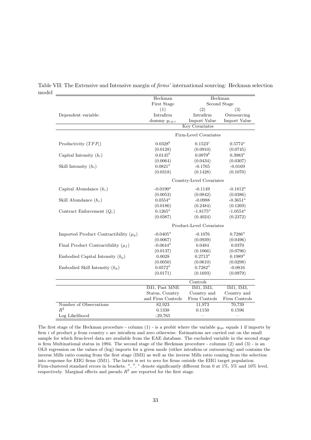|                                            | Heckman                  | Heckman                  |               |  |
|--------------------------------------------|--------------------------|--------------------------|---------------|--|
|                                            | First Stage              | Second Stage             |               |  |
|                                            | (1)                      | (2)                      | (3)           |  |
| Dependent variable:                        | Intrafirm                | Intrafirm                | Outsourcing   |  |
|                                            | dummy $y_{i,p,c}$        | Import Value             | Import Value  |  |
|                                            |                          | <b>Key Covariates</b>    |               |  |
|                                            |                          | Firm-Level Covariates    |               |  |
| Productivity $(TFP_i)$                     | $0.0328^{b}$             | $0.1523^{c}$             | $0.5774^a$    |  |
|                                            | (0.0128)                 | (0.0910)                 | (0.0745)      |  |
| Capital Intensity $(k_i)$                  | $0.0145^{b}$             | $0.0979^{b}$             | $0.3983^{a}$  |  |
|                                            | (0.0064)                 | (0.0434)                 | (0.0307)      |  |
| Skill Intensity $(h_i)$                    | $0.0821^a$               | $-0.1765$                | $-0.0169$     |  |
|                                            | (0.0318)                 | (0.1428)                 | (0.1070)      |  |
|                                            |                          | Country-Level Covariates |               |  |
| Capital Abundance $(k_c)$                  | $-0.0190^a$              | $-0.1149$                | $-0.1812^a$   |  |
|                                            | (0.0053)                 | (0.0842)                 | (0.0386)      |  |
| Skill Abundance $(h_c)$                    | $0.0554^a$               | $-0.0988$                | $-0.3651^a$   |  |
|                                            | (0.0186)                 | (0.2484)                 | (0.1269)      |  |
| Contract Enforcement $(Q_c)$               | $0.1265^a$               | $-1.8175^a$              | $-1.0554^a$   |  |
|                                            | (0.0387)                 | (0.4024)                 | (0.2372)      |  |
|                                            | Product-Level Covariates |                          |               |  |
| Imported Product Contractibility $(\mu_p)$ | $-0.0405^a$              | $-0.1076$                | $0.7286^a$    |  |
|                                            | (0.0067)                 | (0.0939)                 | (0.0496)      |  |
| Final Product Contractibility $(\mu_f)$    | $-0.0644^a$              | 0.0484                   | 0.0370        |  |
|                                            | (0.0137)                 | (0.1066)                 | (0.0796)      |  |
| Embodied Capital Intensity $(k_p)$         | 0.0028                   | $0.2713^a$               | $0.1989^{a}$  |  |
|                                            | (0.0050)                 | (0.0610)                 | (0.0298)      |  |
| Embodied Skill Intensity $(h_p)$           | $0.0572^a$               | $0.7282^a$               | $-0.0816$     |  |
|                                            | (0.0171)                 | (0.1693)                 | (0.0979)      |  |
|                                            |                          | Controls                 |               |  |
|                                            | IM1, Past MNE            | IM1, IM3,                | IM1, IM3,     |  |
|                                            | Status, Country          | Country and              | Country and   |  |
|                                            | and Firm Controls        | Firm Controls            | Firm Controls |  |
| Number of Observations                     | 82,923                   | 11,973                   | 70,739        |  |
| $R^2$                                      | 0.1338                   | 0.1150                   | 0.1596        |  |
| Log Likelihood                             | $-29,765$                |                          |               |  |

Table VII: The Extensive and Intensive margin of firms' international sourcing: Heckman selection model

The first stage of the Heckman procedure - column  $(1)$  - is a probit where the variable  $y_{ipc}$  equals 1 if imports by firm  $i$  of product  $p$  from country  $c$  are intrafirm and zero otherwise. Estimations are carried out on the small sample for which firm-level data are available from the EAE database. The excluded variable in the second stage is firm Multinational status in 1994. The second stage of the Heckman procedure - columns (2) and (3) - is an OLS regression on the values of (log) imports for a given mode (either intrafirm or outsourcing) and contains the inverse Mills ratio coming from the first stage (IM3) as well as the inverse Mills ratio coming from the selection into response for EIIG firms (IM1). The latter is set to zero for firms outside the EIIG target population. Firm-clustered standard errors in brackets.  $a, b, c$  denote significantly different from 0 at 1%, 5% and 10% level, respectively. Marginal effects and pseudo  $R^2$  are reported for the first stage.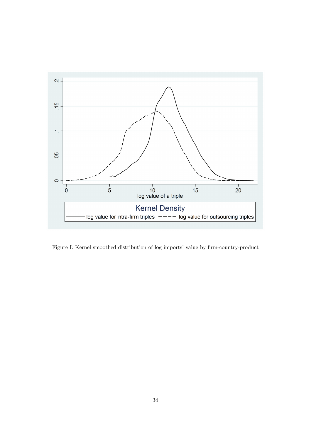

Figure I: Kernel smoothed distribution of log imports' value by firm-country-product